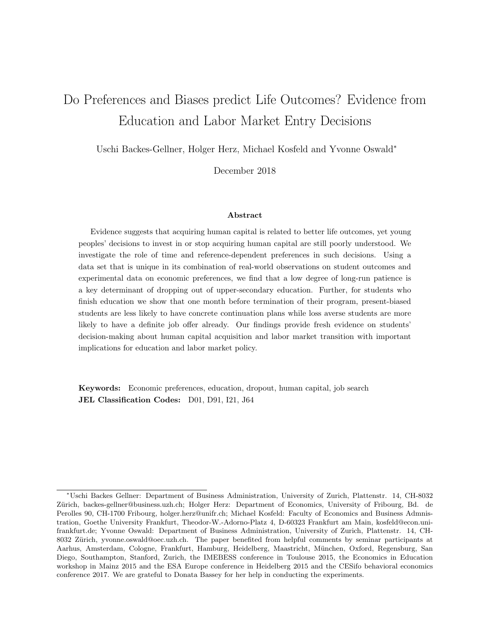# Do Preferences and Biases predict Life Outcomes? Evidence from Education and Labor Market Entry Decisions

Uschi Backes-Gellner, Holger Herz, Michael Kosfeld and Yvonne Oswald<sup>∗</sup>

December 2018

#### Abstract

Evidence suggests that acquiring human capital is related to better life outcomes, yet young peoples' decisions to invest in or stop acquiring human capital are still poorly understood. We investigate the role of time and reference-dependent preferences in such decisions. Using a data set that is unique in its combination of real-world observations on student outcomes and experimental data on economic preferences, we find that a low degree of long-run patience is a key determinant of dropping out of upper-secondary education. Further, for students who finish education we show that one month before termination of their program, present-biased students are less likely to have concrete continuation plans while loss averse students are more likely to have a definite job offer already. Our findings provide fresh evidence on students' decision-making about human capital acquisition and labor market transition with important implications for education and labor market policy.

Keywords: Economic preferences, education, dropout, human capital, job search JEL Classification Codes: D01, D91, I21, J64

<sup>∗</sup>Uschi Backes Gellner: Department of Business Administration, University of Zurich, Plattenstr. 14, CH-8032 Zürich, backes-gellner@business.uzh.ch; Holger Herz: Department of Economics, University of Fribourg, Bd. de Perolles 90, CH-1700 Fribourg, holger.herz@unifr.ch; Michael Kosfeld: Faculty of Economics and Business Admnistration, Goethe University Frankfurt, Theodor-W.-Adorno-Platz 4, D-60323 Frankfurt am Main, kosfeld@econ.unifrankfurt.de; Yvonne Oswald: Department of Business Administration, University of Zurich, Plattenstr. 14, CH-8032 Zürich, yvonne.oswald@oec.uzh.ch. The paper benefited from helpful comments by seminar participants at Aarhus, Amsterdam, Cologne, Frankfurt, Hamburg, Heidelberg, Maastricht, M¨unchen, Oxford, Regensburg, San Diego, Southampton, Stanford, Zurich, the IMEBESS conference in Toulouse 2015, the Economics in Education workshop in Mainz 2015 and the ESA Europe conference in Heidelberg 2015 and the CESifo behavioral economics conference 2017. We are grateful to Donata Bassey for her help in conducting the experiments.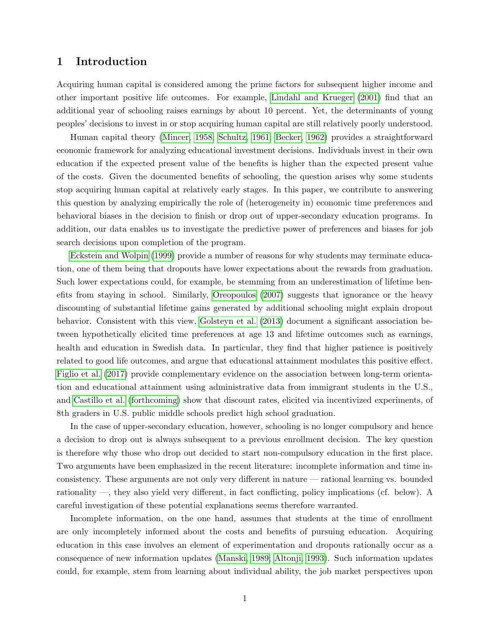## 1 Introduction

Acquiring human capital is considered among the prime factors for subsequent higher income and other important positive life outcomes. For example, [Lindahl and Krueger](#page-27-0) [\(2001\)](#page-27-0) find that an additional year of schooling raises earnings by about 10 percent. Yet, the determinants of young peoples' decisions to invest in or stop acquiring human capital are still relatively poorly understood.

Human capital theory [\(Mincer, 1958;](#page-27-1) [Schultz, 1961;](#page-28-0) [Becker, 1962\)](#page-25-0) provides a straightforward economic framework for analyzing educational investment decisions. Individuals invest in their own education if the expected present value of the benefits is higher than the expected present value of the costs. Given the documented benefits of schooling, the question arises why some students stop acquiring human capital at relatively early stages. In this paper, we contribute to answering this question by analyzing empirically the role of (heterogeneity in) economic time preferences and behavioral biases in the decision to finish or drop out of upper-secondary education programs. In addition, our data enables us to investigate the predictive power of preferences and biases for job search decisions upon completion of the program.

[Eckstein and Wolpin](#page-26-0) [\(1999\)](#page-26-0) provide a number of reasons for why students may terminate education, one of them being that dropouts have lower expectations about the rewards from graduation. Such lower expectations could, for example, be stemming from an underestimation of lifetime benefits from staying in school. Similarly, [Oreopoulos](#page-28-1) [\(2007\)](#page-28-1) suggests that ignorance or the heavy discounting of substantial lifetime gains generated by additional schooling might explain dropout behavior. Consistent with this view, [Golsteyn et al.](#page-27-2) [\(2013\)](#page-27-2) document a significant association between hypothetically elicited time preferences at age 13 and lifetime outcomes such as earnings, health and education in Swedish data. In particular, they find that higher patience is positively related to good life outcomes, and argue that educational attainment modulates this positive effect. [Figlio et al.](#page-27-3) [\(2017\)](#page-27-3) provide complementary evidence on the association between long-term orientation and educational attainment using administrative data from immigrant students in the U.S., and [Castillo et al.](#page-26-1) [\(forthcoming\)](#page-26-1) show that discount rates, elicited via incentivized experiments, of 8th graders in U.S. public middle schools predict high school graduation.

In the case of upper-secondary education, however, schooling is no longer compulsory and hence a decision to drop out is always subsequent to a previous enrollment decision. The key question is therefore why those who drop out decided to start non-compulsory education in the first place. Two arguments have been emphasized in the recent literature: incomplete information and time inconsistency. These arguments are not only very different in nature — rational learning vs. bounded rationality —, they also yield very different, in fact conflicting, policy implications (cf. below). A careful investigation of these potential explanations seems therefore warranted.

Incomplete information, on the one hand, assumes that students at the time of enrollment are only incompletely informed about the costs and benefits of pursuing education. Acquiring education in this case involves an element of experimentation and dropouts rationally occur as a consequence of new information updates [\(Manski, 1989;](#page-27-4) [Altonji, 1993\)](#page-25-1). Such information updates could, for example, stem from learning about individual ability, the job market perspectives upon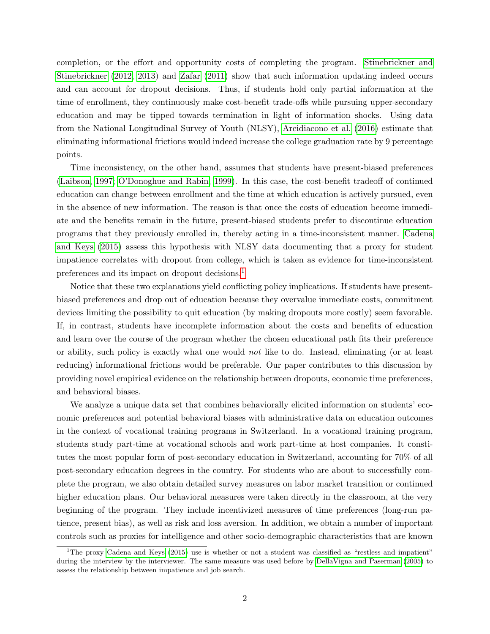completion, or the effort and opportunity costs of completing the program. [Stinebrickner and](#page-28-2) [Stinebrickner](#page-28-2) [\(2012,](#page-28-2) [2013\)](#page-28-3) and [Zafar](#page-28-4) [\(2011\)](#page-28-4) show that such information updating indeed occurs and can account for dropout decisions. Thus, if students hold only partial information at the time of enrollment, they continuously make cost-benefit trade-offs while pursuing upper-secondary education and may be tipped towards termination in light of information shocks. Using data from the National Longitudinal Survey of Youth (NLSY), [Arcidiacono et al.](#page-25-2) [\(2016\)](#page-25-2) estimate that eliminating informational frictions would indeed increase the college graduation rate by 9 percentage points.

Time inconsistency, on the other hand, assumes that students have present-biased preferences [\(Laibson, 1997;](#page-27-5) [O'Donoghue and Rabin, 1999\)](#page-27-6). In this case, the cost-benefit tradeoff of continued education can change between enrollment and the time at which education is actively pursued, even in the absence of new information. The reason is that once the costs of education become immediate and the benefits remain in the future, present-biased students prefer to discontinue education programs that they previously enrolled in, thereby acting in a time-inconsistent manner. [Cadena](#page-25-3) [and Keys](#page-25-3) [\(2015\)](#page-25-3) assess this hypothesis with NLSY data documenting that a proxy for student impatience correlates with dropout from college, which is taken as evidence for time-inconsistent preferences and its impact on dropout decisions.[1](#page-2-0)

Notice that these two explanations yield conflicting policy implications. If students have presentbiased preferences and drop out of education because they overvalue immediate costs, commitment devices limiting the possibility to quit education (by making dropouts more costly) seem favorable. If, in contrast, students have incomplete information about the costs and benefits of education and learn over the course of the program whether the chosen educational path fits their preference or ability, such policy is exactly what one would not like to do. Instead, eliminating (or at least reducing) informational frictions would be preferable. Our paper contributes to this discussion by providing novel empirical evidence on the relationship between dropouts, economic time preferences, and behavioral biases.

We analyze a unique data set that combines behaviorally elicited information on students' economic preferences and potential behavioral biases with administrative data on education outcomes in the context of vocational training programs in Switzerland. In a vocational training program, students study part-time at vocational schools and work part-time at host companies. It constitutes the most popular form of post-secondary education in Switzerland, accounting for 70% of all post-secondary education degrees in the country. For students who are about to successfully complete the program, we also obtain detailed survey measures on labor market transition or continued higher education plans. Our behavioral measures were taken directly in the classroom, at the very beginning of the program. They include incentivized measures of time preferences (long-run patience, present bias), as well as risk and loss aversion. In addition, we obtain a number of important controls such as proxies for intelligence and other socio-demographic characteristics that are known

<span id="page-2-0"></span><sup>&</sup>lt;sup>1</sup>The proxy [Cadena and Keys](#page-25-3) [\(2015\)](#page-25-3) use is whether or not a student was classified as "restless and impatient" during the interview by the interviewer. The same measure was used before by [DellaVigna and Paserman](#page-26-2) [\(2005\)](#page-26-2) to assess the relationship between impatience and job search.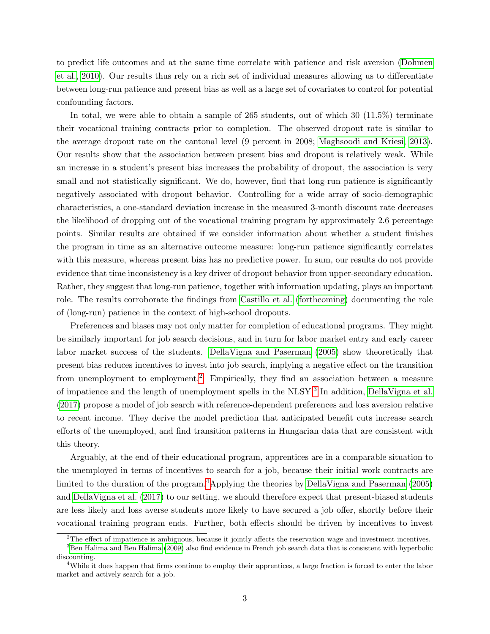to predict life outcomes and at the same time correlate with patience and risk aversion [\(Dohmen](#page-26-3) [et al., 2010\)](#page-26-3). Our results thus rely on a rich set of individual measures allowing us to differentiate between long-run patience and present bias as well as a large set of covariates to control for potential confounding factors.

In total, we were able to obtain a sample of 265 students, out of which 30 (11.5%) terminate their vocational training contracts prior to completion. The observed dropout rate is similar to the average dropout rate on the cantonal level (9 percent in 2008; [Maghsoodi and Kriesi, 2013\)](#page-27-7). Our results show that the association between present bias and dropout is relatively weak. While an increase in a student's present bias increases the probability of dropout, the association is very small and not statistically significant. We do, however, find that long-run patience is significantly negatively associated with dropout behavior. Controlling for a wide array of socio-demographic characteristics, a one-standard deviation increase in the measured 3-month discount rate decreases the likelihood of dropping out of the vocational training program by approximately 2.6 percentage points. Similar results are obtained if we consider information about whether a student finishes the program in time as an alternative outcome measure: long-run patience significantly correlates with this measure, whereas present bias has no predictive power. In sum, our results do not provide evidence that time inconsistency is a key driver of dropout behavior from upper-secondary education. Rather, they suggest that long-run patience, together with information updating, plays an important role. The results corroborate the findings from [Castillo et al.](#page-26-1) [\(forthcoming\)](#page-26-1) documenting the role of (long-run) patience in the context of high-school dropouts.

Preferences and biases may not only matter for completion of educational programs. They might be similarly important for job search decisions, and in turn for labor market entry and early career labor market success of the students. [DellaVigna and Paserman](#page-26-2) [\(2005\)](#page-26-2) show theoretically that present bias reduces incentives to invest into job search, implying a negative effect on the transition from unemployment to employment.<sup>[2](#page-3-0)</sup> Empirically, they find an association between a measure of impatience and the length of unemployment spells in the NLSY.<sup>[3](#page-3-1)</sup> In addition, [DellaVigna et al.](#page-26-4) [\(2017\)](#page-26-4) propose a model of job search with reference-dependent preferences and loss aversion relative to recent income. They derive the model prediction that anticipated benefit cuts increase search efforts of the unemployed, and find transition patterns in Hungarian data that are consistent with this theory.

Arguably, at the end of their educational program, apprentices are in a comparable situation to the unemployed in terms of incentives to search for a job, because their initial work contracts are limited to the duration of the program.<sup>[4](#page-3-2)</sup>Applying the theories by [DellaVigna and Paserman](#page-26-2)  $(2005)$ and [DellaVigna et al.](#page-26-4) [\(2017\)](#page-26-4) to our setting, we should therefore expect that present-biased students are less likely and loss averse students more likely to have secured a job offer, shortly before their vocational training program ends. Further, both effects should be driven by incentives to invest

<span id="page-3-1"></span><span id="page-3-0"></span> $2^2$ The effect of impatience is ambiguous, because it jointly affects the reservation wage and investment incentives.

 $3$ [Ben Halima and Ben Halima](#page-25-4) [\(2009\)](#page-25-4) also find evidence in French job search data that is consistent with hyperbolic discounting.

<span id="page-3-2"></span><sup>&</sup>lt;sup>4</sup>While it does happen that firms continue to employ their apprentices, a large fraction is forced to enter the labor market and actively search for a job.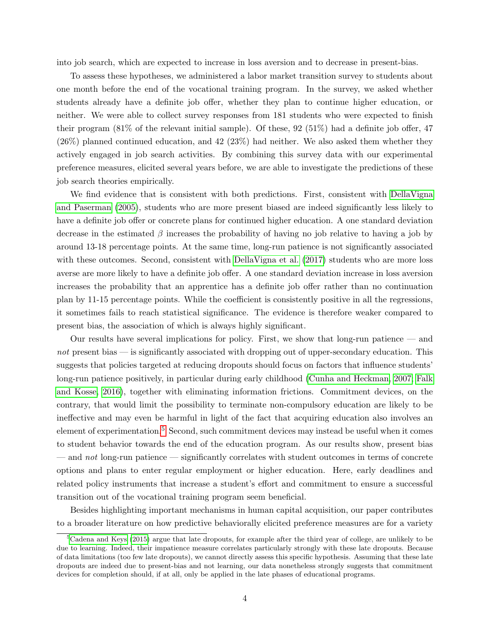into job search, which are expected to increase in loss aversion and to decrease in present-bias.

To assess these hypotheses, we administered a labor market transition survey to students about one month before the end of the vocational training program. In the survey, we asked whether students already have a definite job offer, whether they plan to continue higher education, or neither. We were able to collect survey responses from 181 students who were expected to finish their program (81% of the relevant initial sample). Of these, 92 (51%) had a definite job offer, 47 (26%) planned continued education, and 42 (23%) had neither. We also asked them whether they actively engaged in job search activities. By combining this survey data with our experimental preference measures, elicited several years before, we are able to investigate the predictions of these job search theories empirically.

We find evidence that is consistent with both predictions. First, consistent with [DellaVigna](#page-26-2) [and Paserman](#page-26-2) [\(2005\)](#page-26-2), students who are more present biased are indeed significantly less likely to have a definite job offer or concrete plans for continued higher education. A one standard deviation decrease in the estimated  $\beta$  increases the probability of having no job relative to having a job by around 13-18 percentage points. At the same time, long-run patience is not significantly associated with these outcomes. Second, consistent with [DellaVigna et al.](#page-26-4) [\(2017\)](#page-26-4) students who are more loss averse are more likely to have a definite job offer. A one standard deviation increase in loss aversion increases the probability that an apprentice has a definite job offer rather than no continuation plan by 11-15 percentage points. While the coefficient is consistently positive in all the regressions, it sometimes fails to reach statistical significance. The evidence is therefore weaker compared to present bias, the association of which is always highly significant.

Our results have several implications for policy. First, we show that long-run patience — and not present bias — is significantly associated with dropping out of upper-secondary education. This suggests that policies targeted at reducing dropouts should focus on factors that influence students' long-run patience positively, in particular during early childhood [\(Cunha and Heckman, 2007;](#page-26-5) [Falk](#page-26-6) [and Kosse, 2016\)](#page-26-6), together with eliminating information frictions. Commitment devices, on the contrary, that would limit the possibility to terminate non-compulsory education are likely to be ineffective and may even be harmful in light of the fact that acquiring education also involves an element of experimentation.<sup>[5](#page-4-0)</sup> Second, such commitment devices may instead be useful when it comes to student behavior towards the end of the education program. As our results show, present bias — and not long-run patience — significantly correlates with student outcomes in terms of concrete options and plans to enter regular employment or higher education. Here, early deadlines and related policy instruments that increase a student's effort and commitment to ensure a successful transition out of the vocational training program seem beneficial.

Besides highlighting important mechanisms in human capital acquisition, our paper contributes to a broader literature on how predictive behaviorally elicited preference measures are for a variety

<span id="page-4-0"></span> $5C$ dena and Keys [\(2015\)](#page-25-3) argue that late dropouts, for example after the third year of college, are unlikely to be due to learning. Indeed, their impatience measure correlates particularly strongly with these late dropouts. Because of data limitations (too few late dropouts), we cannot directly assess this specific hypothesis. Assuming that these late dropouts are indeed due to present-bias and not learning, our data nonetheless strongly suggests that commitment devices for completion should, if at all, only be applied in the late phases of educational programs.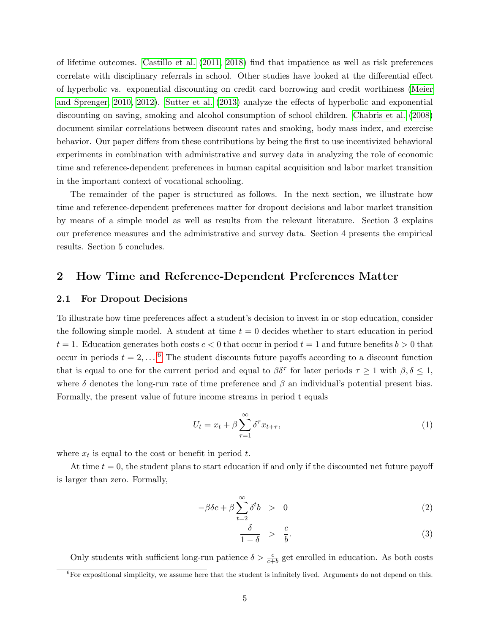of lifetime outcomes. [Castillo et al.](#page-26-7) [\(2011,](#page-26-7) [2018\)](#page-26-8) find that impatience as well as risk preferences correlate with disciplinary referrals in school. Other studies have looked at the differential effect of hyperbolic vs. exponential discounting on credit card borrowing and credit worthiness [\(Meier](#page-27-8) [and Sprenger, 2010,](#page-27-8) [2012\)](#page-27-9). [Sutter et al.](#page-28-5) [\(2013\)](#page-28-5) analyze the effects of hyperbolic and exponential discounting on saving, smoking and alcohol consumption of school children. [Chabris et al.](#page-26-9) [\(2008\)](#page-26-9) document similar correlations between discount rates and smoking, body mass index, and exercise behavior. Our paper differs from these contributions by being the first to use incentivized behavioral experiments in combination with administrative and survey data in analyzing the role of economic time and reference-dependent preferences in human capital acquisition and labor market transition in the important context of vocational schooling.

The remainder of the paper is structured as follows. In the next section, we illustrate how time and reference-dependent preferences matter for dropout decisions and labor market transition by means of a simple model as well as results from the relevant literature. Section 3 explains our preference measures and the administrative and survey data. Section 4 presents the empirical results. Section 5 concludes.

### 2 How Time and Reference-Dependent Preferences Matter

#### 2.1 For Dropout Decisions

To illustrate how time preferences affect a student's decision to invest in or stop education, consider the following simple model. A student at time  $t = 0$  decides whether to start education in period  $t = 1$ . Education generates both costs  $c < 0$  that occur in period  $t = 1$  and future benefits  $b > 0$  that occur in periods  $t = 2, \ldots, 6$  $t = 2, \ldots, 6$  The student discounts future payoffs according to a discount function that is equal to one for the current period and equal to  $\beta \delta^{\tau}$  for later periods  $\tau \geq 1$  with  $\beta, \delta \leq 1$ , where  $\delta$  denotes the long-run rate of time preference and  $\beta$  an individual's potential present bias. Formally, the present value of future income streams in period t equals

<span id="page-5-2"></span>
$$
U_t = x_t + \beta \sum_{\tau=1}^{\infty} \delta^{\tau} x_{t+\tau}, \qquad (1)
$$

where  $x_t$  is equal to the cost or benefit in period t.

At time  $t = 0$ , the student plans to start education if and only if the discounted net future payoff is larger than zero. Formally,

<span id="page-5-1"></span>
$$
-\beta \delta c + \beta \sum_{t=2}^{\infty} \delta^t b > 0 \tag{2}
$$

$$
\frac{\delta}{1-\delta} > \frac{c}{b}.\tag{3}
$$

<span id="page-5-0"></span>Only students with sufficient long-run patience  $\delta > \frac{c}{c+b}$  get enrolled in education. As both costs  ${}^{6}$  For expositional simplicity, we assume here that the student is infinitely lived. Arguments do not depend on this.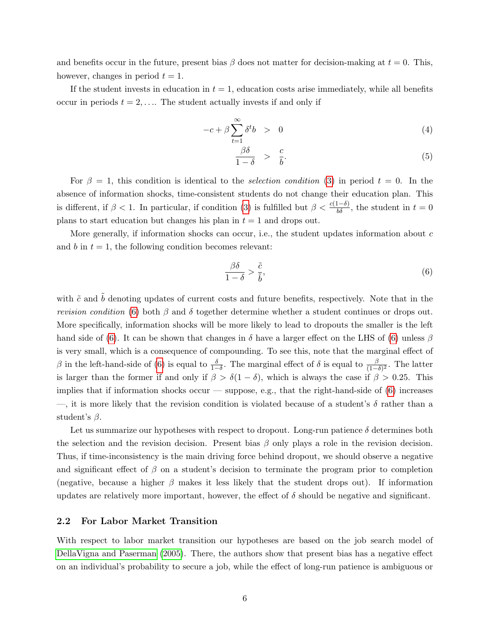and benefits occur in the future, present bias  $\beta$  does not matter for decision-making at  $t = 0$ . This, however, changes in period  $t = 1$ .

If the student invests in education in  $t = 1$ , education costs arise immediately, while all benefits occur in periods  $t = 2, \ldots$  The student actually invests if and only if

$$
-c + \beta \sum_{t=1}^{\infty} \delta^t b > 0 \tag{4}
$$

$$
\frac{\beta \delta}{1 - \delta} > \frac{c}{b}.\tag{5}
$$

For  $\beta = 1$ , this condition is identical to the *selection condition* [\(3\)](#page-5-1) in period  $t = 0$ . In the absence of information shocks, time-consistent students do not change their education plan. This is different, if  $\beta < 1$ . In particular, if condition [\(3\)](#page-5-1) is fulfilled but  $\beta < \frac{c(1-\delta)}{b\delta}$ , the student in  $t = 0$ plans to start education but changes his plan in  $t = 1$  and drops out.

More generally, if information shocks can occur, i.e., the student updates information about  $c$ and b in  $t = 1$ , the following condition becomes relevant:

<span id="page-6-0"></span>
$$
\frac{\beta\delta}{1-\delta} > \frac{\tilde{c}}{\tilde{b}},\tag{6}
$$

with  $\tilde{c}$  and  $\tilde{b}$  denoting updates of current costs and future benefits, respectively. Note that in the *revision condition* [\(6\)](#page-6-0) both  $\beta$  and  $\delta$  together determine whether a student continues or drops out. More specifically, information shocks will be more likely to lead to dropouts the smaller is the left hand side of [\(6\)](#page-6-0). It can be shown that changes in  $\delta$  have a larger effect on the LHS of (6) unless  $\beta$ is very small, which is a consequence of compounding. To see this, note that the marginal effect of β in the left-hand-side of [\(6\)](#page-6-0) is equal to  $\frac{\delta}{1-\delta}$ . The marginal effect of δ is equal to  $\frac{\beta}{(1-\delta)^2}$ . The latter is larger than the former if and only if  $\beta > \delta(1-\delta)$ , which is always the case if  $\beta > 0.25$ . This implies that if information shocks occur — suppose, e.g., that the right-hand-side of  $(6)$  increases —, it is more likely that the revision condition is violated because of a student's  $\delta$  rather than a student's  $\beta$ .

Let us summarize our hypotheses with respect to dropout. Long-run patience  $\delta$  determines both the selection and the revision decision. Present bias  $\beta$  only plays a role in the revision decision. Thus, if time-inconsistency is the main driving force behind dropout, we should observe a negative and significant effect of  $\beta$  on a student's decision to terminate the program prior to completion (negative, because a higher  $\beta$  makes it less likely that the student drops out). If information updates are relatively more important, however, the effect of  $\delta$  should be negative and significant.

#### 2.2 For Labor Market Transition

With respect to labor market transition our hypotheses are based on the job search model of [DellaVigna and Paserman](#page-26-2) [\(2005\)](#page-26-2). There, the authors show that present bias has a negative effect on an individual's probability to secure a job, while the effect of long-run patience is ambiguous or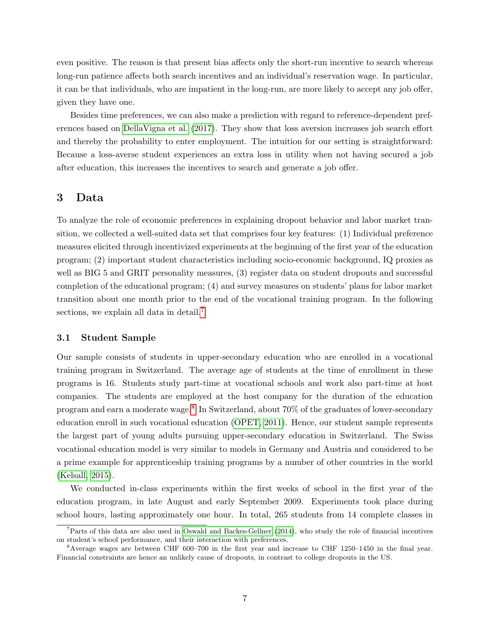even positive. The reason is that present bias affects only the short-run incentive to search whereas long-run patience affects both search incentives and an individual's reservation wage. In particular, it can be that individuals, who are impatient in the long-run, are more likely to accept any job offer, given they have one.

Besides time preferences, we can also make a prediction with regard to reference-dependent preferences based on [DellaVigna et al.](#page-26-4) [\(2017\)](#page-26-4). They show that loss aversion increases job search effort and thereby the probability to enter employment. The intuition for our setting is straightforward: Because a loss-averse student experiences an extra loss in utility when not having secured a job after education, this increases the incentives to search and generate a job offer.

## 3 Data

To analyze the role of economic preferences in explaining dropout behavior and labor market transition, we collected a well-suited data set that comprises four key features: (1) Individual preference measures elicited through incentivized experiments at the beginning of the first year of the education program; (2) important student characteristics including socio-economic background, IQ proxies as well as BIG 5 and GRIT personality measures,  $(3)$  register data on student dropouts and successful completion of the educational program; (4) and survey measures on students' plans for labor market transition about one month prior to the end of the vocational training program. In the following sections, we explain all data in detail.<sup>[7](#page-7-0)</sup>

#### 3.1 Student Sample

Our sample consists of students in upper-secondary education who are enrolled in a vocational training program in Switzerland. The average age of students at the time of enrollment in these programs is 16. Students study part-time at vocational schools and work also part-time at host companies. The students are employed at the host company for the duration of the education program and earn a moderate wage.<sup>[8](#page-7-1)</sup> In Switzerland, about 70% of the graduates of lower-secondary education enroll in such vocational education [\(OPET, 2011\)](#page-28-6). Hence, our student sample represents the largest part of young adults pursuing upper-secondary education in Switzerland. The Swiss vocational education model is very similar to models in Germany and Austria and considered to be a prime example for apprenticeship training programs by a number of other countries in the world [\(Kelsall, 2015\)](#page-27-10).

We conducted in-class experiments within the first weeks of school in the first year of the education program, in late August and early September 2009. Experiments took place during school hours, lasting approximately one hour. In total, 265 students from 14 complete classes in

<span id="page-7-0"></span> $7$ Parts of this data are also used in [Oswald and Backes-Gellner](#page-28-7) [\(2014\)](#page-28-7), who study the role of financial incentives on student's school performance, and their interaction with preferences.

<span id="page-7-1"></span><sup>&</sup>lt;sup>8</sup>Average wages are between CHF 600–700 in the first year and increase to CHF 1250–1450 in the final year. Financial constraints are hence an unlikely cause of dropouts, in contrast to college dropouts in the US.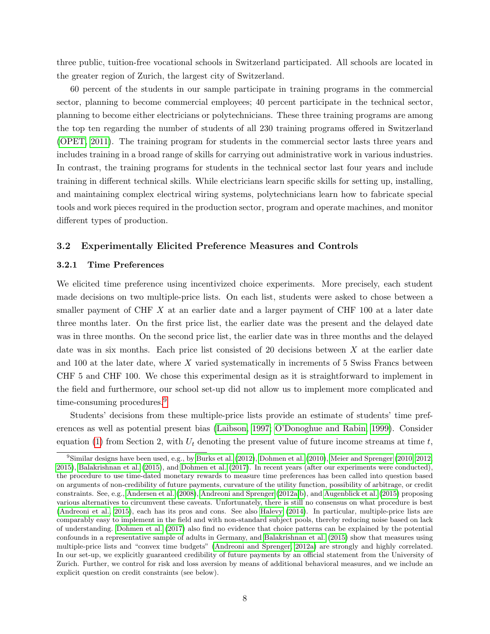three public, tuition-free vocational schools in Switzerland participated. All schools are located in the greater region of Zurich, the largest city of Switzerland.

60 percent of the students in our sample participate in training programs in the commercial sector, planning to become commercial employees; 40 percent participate in the technical sector, planning to become either electricians or polytechnicians. These three training programs are among the top ten regarding the number of students of all 230 training programs offered in Switzerland [\(OPET, 2011\)](#page-28-6). The training program for students in the commercial sector lasts three years and includes training in a broad range of skills for carrying out administrative work in various industries. In contrast, the training programs for students in the technical sector last four years and include training in different technical skills. While electricians learn specific skills for setting up, installing, and maintaining complex electrical wiring systems, polytechnicians learn how to fabricate special tools and work pieces required in the production sector, program and operate machines, and monitor different types of production.

#### 3.2 Experimentally Elicited Preference Measures and Controls

#### 3.2.1 Time Preferences

We elicited time preference using incentivized choice experiments. More precisely, each student made decisions on two multiple-price lists. On each list, students were asked to chose between a smaller payment of CHF  $X$  at an earlier date and a larger payment of CHF 100 at a later date three months later. On the first price list, the earlier date was the present and the delayed date was in three months. On the second price list, the earlier date was in three months and the delayed date was in six months. Each price list consisted of 20 decisions between  $X$  at the earlier date and 100 at the later date, where X varied systematically in increments of 5 Swiss Francs between CHF 5 and CHF 100. We chose this experimental design as it is straightforward to implement in the field and furthermore, our school set-up did not allow us to implement more complicated and time-consuming procedures.<sup>[9](#page-8-0)</sup>

Students' decisions from these multiple-price lists provide an estimate of students' time preferences as well as potential present bias [\(Laibson, 1997;](#page-27-5) [O'Donoghue and Rabin, 1999\)](#page-27-6). Consider equation [\(1\)](#page-5-2) from Section 2, with  $U_t$  denoting the present value of future income streams at time t,

<span id="page-8-0"></span><sup>9</sup>Similar designs have been used, e.g., by [Burks et al.](#page-25-5) [\(2012\)](#page-25-5), [Dohmen et al.](#page-26-3) [\(2010\)](#page-26-3), [Meier and Sprenger](#page-27-8) [\(2010,](#page-27-8) [2012,](#page-27-9) [2015\)](#page-27-11), [Balakrishnan et al.](#page-25-6) [\(2015\)](#page-25-6), and [Dohmen et al.](#page-26-10) [\(2017\)](#page-26-10). In recent years (after our experiments were conducted), the procedure to use time-dated monetary rewards to measure time preferences has been called into question based on arguments of non-credibility of future payments, curvature of the utility function, possibility of arbitrage, or credit constraints. See, e.g., [Andersen et al.](#page-25-7) [\(2008\)](#page-25-7), [Andreoni and Sprenger](#page-25-8) [\(2012a,](#page-25-8)[b\)](#page-25-9), and [Augenblick et al.](#page-25-10) [\(2015\)](#page-25-10) proposing various alternatives to circumvent these caveats. Unfortunately, there is still no consensus on what procedure is best [\(Andreoni et al., 2015\)](#page-25-11), each has its pros and cons. See also [Halevy](#page-27-12) [\(2014\)](#page-27-12). In particular, multiple-price lists are comparably easy to implement in the field and with non-standard subject pools, thereby reducing noise based on lack of understanding. [Dohmen et al.](#page-26-10) [\(2017\)](#page-26-10) also find no evidence that choice patterns can be explained by the potential confounds in a representative sample of adults in Germany, and [Balakrishnan et al.](#page-25-6) [\(2015\)](#page-25-6) show that measures using multiple-price lists and "convex time budgets" [\(Andreoni and Sprenger, 2012a\)](#page-25-8) are strongly and highly correlated. In our set-up, we explicitly guaranteed credibility of future payments by an official statement from the University of Zurich. Further, we control for risk and loss aversion by means of additional behavioral measures, and we include an explicit question on credit constraints (see below).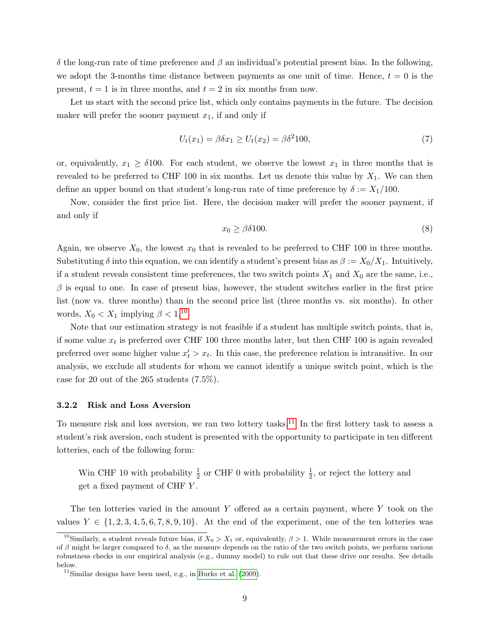δ the long-run rate of time preference and β an individual's potential present bias. In the following, we adopt the 3-months time distance between payments as one unit of time. Hence,  $t = 0$  is the present,  $t = 1$  is in three months, and  $t = 2$  in six months from now.

Let us start with the second price list, which only contains payments in the future. The decision maker will prefer the sooner payment  $x_1$ , if and only if

$$
U_t(x_1) = \beta \delta x_1 \ge U_t(x_2) = \beta \delta^2 100,
$$
\n(7)

or, equivalently,  $x_1 \geq \delta 100$ . For each student, we observe the lowest  $x_1$  in three months that is revealed to be preferred to CHF 100 in six months. Let us denote this value by  $X_1$ . We can then define an upper bound on that student's long-run rate of time preference by  $\delta := X_1/100$ .

Now, consider the first price list. Here, the decision maker will prefer the sooner payment, if and only if

$$
x_0 \ge \beta \delta 100. \tag{8}
$$

Again, we observe  $X_0$ , the lowest  $x_0$  that is revealed to be preferred to CHF 100 in three months. Substituting  $\delta$  into this equation, we can identify a student's present bias as  $\beta := X_0/X_1$ . Intuitively, if a student reveals consistent time preferences, the two switch points  $X_1$  and  $X_0$  are the same, i.e.,  $\beta$  is equal to one. In case of present bias, however, the student switches earlier in the first price list (now vs. three months) than in the second price list (three months vs. six months). In other words,  $X_0 < X_1$  implying  $\beta < 1.10$  $\beta < 1.10$ 

Note that our estimation strategy is not feasible if a student has multiple switch points, that is, if some value  $x_t$  is preferred over CHF 100 three months later, but then CHF 100 is again revealed preferred over some higher value  $x_t' > x_t$ . In this case, the preference relation is intransitive. In our analysis, we exclude all students for whom we cannot identify a unique switch point, which is the case for 20 out of the 265 students (7.5%).

#### 3.2.2 Risk and Loss Aversion

To measure risk and loss aversion, we ran two lottery tasks.<sup>[11](#page-9-1)</sup> In the first lottery task to assess a student's risk aversion, each student is presented with the opportunity to participate in ten different lotteries, each of the following form:

Win CHF 10 with probability  $\frac{1}{2}$  or CHF 0 with probability  $\frac{1}{2}$ , or reject the lottery and get a fixed payment of CHF Y .

The ten lotteries varied in the amount Y offered as a certain payment, where Y took on the values  $Y \in \{1, 2, 3, 4, 5, 6, 7, 8, 9, 10\}$ . At the end of the experiment, one of the ten lotteries was

<span id="page-9-0"></span><sup>&</sup>lt;sup>10</sup>Similarly, a student reveals future bias, if  $X_0 > X_1$  or, equivalently,  $\beta > 1$ . While measurement errors in the case of  $\beta$  might be larger compared to  $\delta$ , as the measure depends on the ratio of the two switch points, we perform various robustness checks in our empirical analysis (e.g., dummy model) to rule out that these drive our results. See details below.

<span id="page-9-1"></span> $11$ Similar designs have been used, e.g., in [Burks et al.](#page-25-12)  $(2009)$ .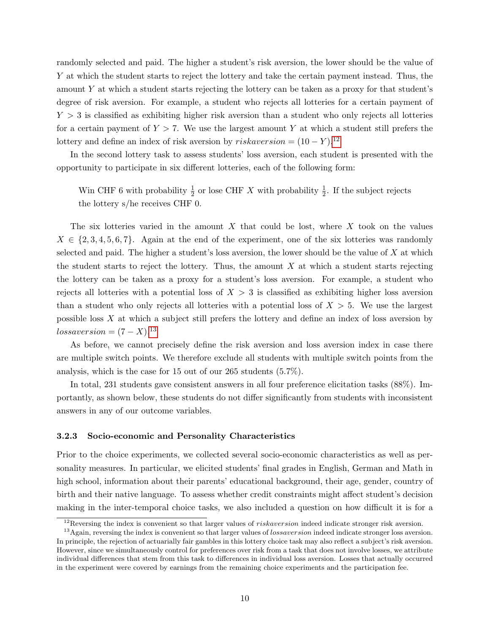randomly selected and paid. The higher a student's risk aversion, the lower should be the value of Y at which the student starts to reject the lottery and take the certain payment instead. Thus, the amount Y at which a student starts rejecting the lottery can be taken as a proxy for that student's degree of risk aversion. For example, a student who rejects all lotteries for a certain payment of  $Y > 3$  is classified as exhibiting higher risk aversion than a student who only rejects all lotteries for a certain payment of  $Y > 7$ . We use the largest amount Y at which a student still prefers the lottery and define an index of risk aversion by  $riskaversion = (10 - Y).^{12}$  $riskaversion = (10 - Y).^{12}$  $riskaversion = (10 - Y).^{12}$ 

In the second lottery task to assess students' loss aversion, each student is presented with the opportunity to participate in six different lotteries, each of the following form:

Win CHF 6 with probability  $\frac{1}{2}$  or lose CHF X with probability  $\frac{1}{2}$ . If the subject rejects the lottery s/he receives CHF 0.

The six lotteries varied in the amount  $X$  that could be lost, where  $X$  took on the values  $X \in \{2, 3, 4, 5, 6, 7\}$ . Again at the end of the experiment, one of the six lotteries was randomly selected and paid. The higher a student's loss aversion, the lower should be the value of  $X$  at which the student starts to reject the lottery. Thus, the amount  $X$  at which a student starts rejecting the lottery can be taken as a proxy for a student's loss aversion. For example, a student who rejects all lotteries with a potential loss of  $X > 3$  is classified as exhibiting higher loss aversion than a student who only rejects all lotteries with a potential loss of  $X > 5$ . We use the largest possible loss  $X$  at which a subject still prefers the lottery and define an index of loss aversion by  $lossaversion = (7 - X).$ <sup>[13](#page-10-1)</sup>

As before, we cannot precisely define the risk aversion and loss aversion index in case there are multiple switch points. We therefore exclude all students with multiple switch points from the analysis, which is the case for 15 out of our 265 students (5.7%).

In total, 231 students gave consistent answers in all four preference elicitation tasks (88%). Importantly, as shown below, these students do not differ significantly from students with inconsistent answers in any of our outcome variables.

#### <span id="page-10-2"></span>3.2.3 Socio-economic and Personality Characteristics

Prior to the choice experiments, we collected several socio-economic characteristics as well as personality measures. In particular, we elicited students' final grades in English, German and Math in high school, information about their parents' educational background, their age, gender, country of birth and their native language. To assess whether credit constraints might affect student's decision making in the inter-temporal choice tasks, we also included a question on how difficult it is for a

<span id="page-10-1"></span><span id="page-10-0"></span> $12$ Reversing the index is convenient so that larger values of *riskaversion* indeed indicate stronger risk aversion.

<sup>&</sup>lt;sup>13</sup>Again, reversing the index is convenient so that larger values of *lossaversion* indeed indicate stronger loss aversion. In principle, the rejection of actuarially fair gambles in this lottery choice task may also reflect a subject's risk aversion. However, since we simultaneously control for preferences over risk from a task that does not involve losses, we attribute individual differences that stem from this task to differences in individual loss aversion. Losses that actually occurred in the experiment were covered by earnings from the remaining choice experiments and the participation fee.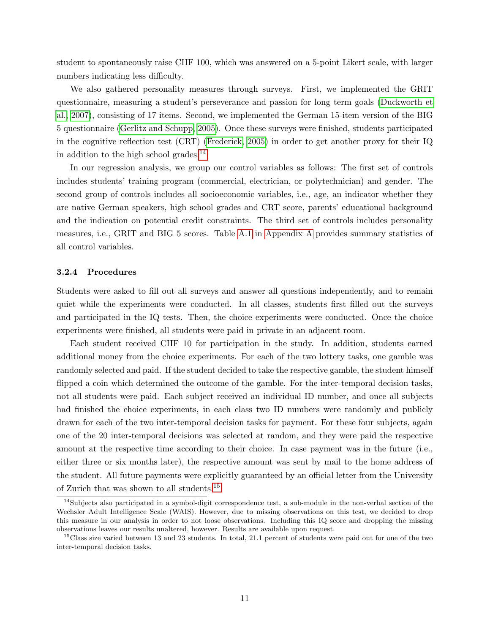student to spontaneously raise CHF 100, which was answered on a 5-point Likert scale, with larger numbers indicating less difficulty.

We also gathered personality measures through surveys. First, we implemented the GRIT questionnaire, measuring a student's perseverance and passion for long term goals [\(Duckworth et](#page-26-11) [al., 2007\)](#page-26-11), consisting of 17 items. Second, we implemented the German 15-item version of the BIG 5 questionnaire [\(Gerlitz and Schupp, 2005\)](#page-27-13). Once these surveys were finished, students participated in the cognitive reflection test (CRT) [\(Frederick, 2005\)](#page-27-14) in order to get another proxy for their IQ in addition to the high school grades.<sup>[14](#page-11-0)</sup>

In our regression analysis, we group our control variables as follows: The first set of controls includes students' training program (commercial, electrician, or polytechnician) and gender. The second group of controls includes all socioeconomic variables, i.e., age, an indicator whether they are native German speakers, high school grades and CRT score, parents' educational background and the indication on potential credit constraints. The third set of controls includes personality measures, i.e., GRIT and BIG 5 scores. Table [A.1](#page-29-0) in [Appendix A](#page-29-1) provides summary statistics of all control variables.

#### 3.2.4 Procedures

Students were asked to fill out all surveys and answer all questions independently, and to remain quiet while the experiments were conducted. In all classes, students first filled out the surveys and participated in the IQ tests. Then, the choice experiments were conducted. Once the choice experiments were finished, all students were paid in private in an adjacent room.

Each student received CHF 10 for participation in the study. In addition, students earned additional money from the choice experiments. For each of the two lottery tasks, one gamble was randomly selected and paid. If the student decided to take the respective gamble, the student himself flipped a coin which determined the outcome of the gamble. For the inter-temporal decision tasks, not all students were paid. Each subject received an individual ID number, and once all subjects had finished the choice experiments, in each class two ID numbers were randomly and publicly drawn for each of the two inter-temporal decision tasks for payment. For these four subjects, again one of the 20 inter-temporal decisions was selected at random, and they were paid the respective amount at the respective time according to their choice. In case payment was in the future (i.e., either three or six months later), the respective amount was sent by mail to the home address of the student. All future payments were explicitly guaranteed by an official letter from the University of Zurich that was shown to all students.[15](#page-11-1)

<span id="page-11-0"></span> $14$ Subjects also participated in a symbol-digit correspondence test, a sub-module in the non-verbal section of the Wechsler Adult Intelligence Scale (WAIS). However, due to missing observations on this test, we decided to drop this measure in our analysis in order to not loose observations. Including this IQ score and dropping the missing observations leaves our results unaltered, however. Results are available upon request.

<span id="page-11-1"></span> $15C$ lass size varied between 13 and 23 students. In total, 21.1 percent of students were paid out for one of the two inter-temporal decision tasks.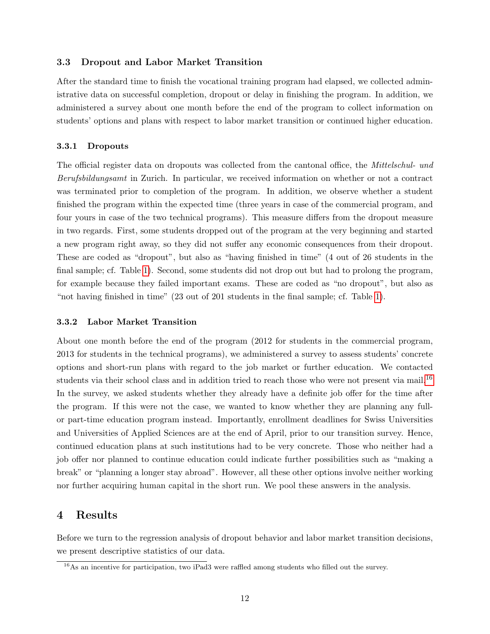#### 3.3 Dropout and Labor Market Transition

After the standard time to finish the vocational training program had elapsed, we collected administrative data on successful completion, dropout or delay in finishing the program. In addition, we administered a survey about one month before the end of the program to collect information on students' options and plans with respect to labor market transition or continued higher education.

#### 3.3.1 Dropouts

The official register data on dropouts was collected from the cantonal office, the *Mittelschul- und* Berufsbildungsamt in Zurich. In particular, we received information on whether or not a contract was terminated prior to completion of the program. In addition, we observe whether a student finished the program within the expected time (three years in case of the commercial program, and four yours in case of the two technical programs). This measure differs from the dropout measure in two regards. First, some students dropped out of the program at the very beginning and started a new program right away, so they did not suffer any economic consequences from their dropout. These are coded as "dropout", but also as "having finished in time" (4 out of 26 students in the final sample; cf. Table [1\)](#page-13-0). Second, some students did not drop out but had to prolong the program, for example because they failed important exams. These are coded as "no dropout", but also as "not having finished in time" (23 out of 201 students in the final sample; cf. Table [1\)](#page-13-0).

#### 3.3.2 Labor Market Transition

About one month before the end of the program (2012 for students in the commercial program, 2013 for students in the technical programs), we administered a survey to assess students' concrete options and short-run plans with regard to the job market or further education. We contacted students via their school class and in addition tried to reach those who were not present via mail.<sup>[16](#page-12-0)</sup> In the survey, we asked students whether they already have a definite job offer for the time after the program. If this were not the case, we wanted to know whether they are planning any fullor part-time education program instead. Importantly, enrollment deadlines for Swiss Universities and Universities of Applied Sciences are at the end of April, prior to our transition survey. Hence, continued education plans at such institutions had to be very concrete. Those who neither had a job offer nor planned to continue education could indicate further possibilities such as "making a break" or "planning a longer stay abroad". However, all these other options involve neither working nor further acquiring human capital in the short run. We pool these answers in the analysis.

## 4 Results

Before we turn to the regression analysis of dropout behavior and labor market transition decisions, we present descriptive statistics of our data.

<span id="page-12-0"></span><sup>&</sup>lt;sup>16</sup>As an incentive for participation, two iPad3 were raffled among students who filled out the survey.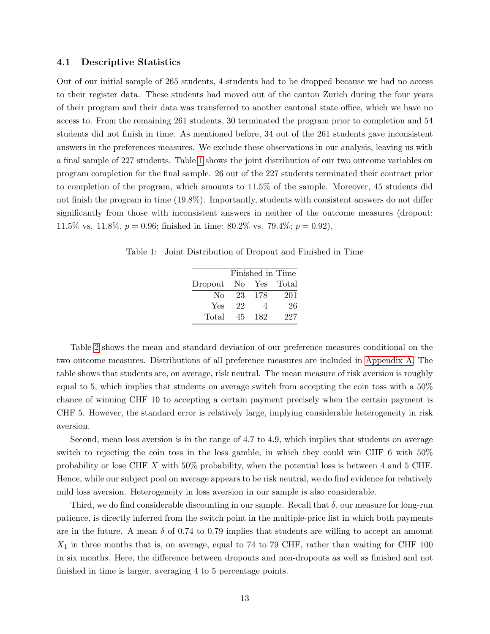#### 4.1 Descriptive Statistics

Out of our initial sample of 265 students, 4 students had to be dropped because we had no access to their register data. These students had moved out of the canton Zurich during the four years of their program and their data was transferred to another cantonal state office, which we have no access to. From the remaining 261 students, 30 terminated the program prior to completion and 54 students did not finish in time. As mentioned before, 34 out of the 261 students gave inconsistent answers in the preferences measures. We exclude these observations in our analysis, leaving us with a final sample of 227 students. Table [1](#page-13-0) shows the joint distribution of our two outcome variables on program completion for the final sample. 26 out of the 227 students terminated their contract prior to completion of the program, which amounts to 11.5% of the sample. Moreover, 45 students did not finish the program in time (19.8%). Importantly, students with consistent answers do not differ significantly from those with inconsistent answers in neither of the outcome measures (dropout: 11.5% vs. 11.8%,  $p = 0.96$ ; finished in time: 80.2% vs. 79.4%;  $p = 0.92$ ).

<span id="page-13-0"></span>Table 1: Joint Distribution of Dropout and Finished in Time

|         |    | Finished in Time |              |
|---------|----|------------------|--------------|
| Dropout |    |                  | No Yes Total |
| No      | 23 | -178             | 201          |
| Yes     | 22 | 4                | 26           |
| Total   | 45 | 182              | 227          |

Table [2](#page-14-0) shows the mean and standard deviation of our preference measures conditional on the two outcome measures. Distributions of all preference measures are included in [Appendix A.](#page-29-1) The table shows that students are, on average, risk neutral. The mean measure of risk aversion is roughly equal to 5, which implies that students on average switch from accepting the coin toss with a 50% chance of winning CHF 10 to accepting a certain payment precisely when the certain payment is CHF 5. However, the standard error is relatively large, implying considerable heterogeneity in risk aversion.

Second, mean loss aversion is in the range of 4.7 to 4.9, which implies that students on average switch to rejecting the coin toss in the loss gamble, in which they could win CHF 6 with 50% probability or lose CHF X with 50% probability, when the potential loss is between 4 and 5 CHF. Hence, while our subject pool on average appears to be risk neutral, we do find evidence for relatively mild loss aversion. Heterogeneity in loss aversion in our sample is also considerable.

Third, we do find considerable discounting in our sample. Recall that  $\delta$ , our measure for long-run patience, is directly inferred from the switch point in the multiple-price list in which both payments are in the future. A mean  $\delta$  of 0.74 to 0.79 implies that students are willing to accept an amount  $X_1$  in three months that is, on average, equal to 74 to 79 CHF, rather than waiting for CHF 100 in six months. Here, the difference between dropouts and non-dropouts as well as finished and not finished in time is larger, averaging 4 to 5 percentage points.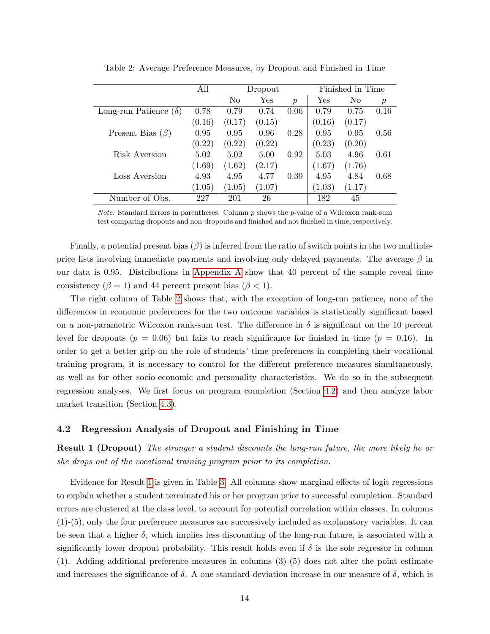|                              | All    |                | Dropout |                  |        | Finished in Time |                  |
|------------------------------|--------|----------------|---------|------------------|--------|------------------|------------------|
|                              |        | N <sub>0</sub> | Yes     | $\boldsymbol{p}$ | Yes    | No               | $\boldsymbol{p}$ |
| Long-run Patience $(\delta)$ | 0.78   | 0.79           | 0.74    | 0.06             | 0.79   | 0.75             | 0.16             |
|                              | (0.16) | (0.17)         | (0.15)  |                  | (0.16) | (0.17)           |                  |
| Present Bias $(\beta)$       | 0.95   | 0.95           | 0.96    | 0.28             | 0.95   | 0.95             | 0.56             |
|                              | (0.22) | (0.22)         | (0.22)  |                  | (0.23) | (0.20)           |                  |
| Risk Aversion                | 5.02   | 5.02           | 5.00    | 0.92             | 5.03   | 4.96             | 0.61             |
|                              | (1.69) | (1.62)         | (2.17)  |                  | (1.67) | (1.76)           |                  |
| Loss Aversion                | 4.93   | 4.95           | 4.77    | 0.39             | 4.95   | 4.84             | 0.68             |
|                              | (1.05) | (1.05)         | (1.07)  |                  | (1.03) | (1.17)           |                  |
| Number of Obs.               | 227    | 201            | 26      |                  | 182    | 45               |                  |

<span id="page-14-0"></span>Table 2: Average Preference Measures, by Dropout and Finished in Time

*Note:* Standard Errors in parentheses. Column  $p$  shows the  $p$ -value of a Wilcoxon rank-sum test comparing dropouts and non-dropouts and finished and not finished in time, respectively.

Finally, a potential present bias  $(\beta)$  is inferred from the ratio of switch points in the two multipleprice lists involving immediate payments and involving only delayed payments. The average  $\beta$  in our data is 0.95. Distributions in [Appendix A](#page-29-1) show that 40 percent of the sample reveal time consistency ( $\beta = 1$ ) and 44 percent present bias ( $\beta < 1$ ).

The right column of Table [2](#page-14-0) shows that, with the exception of long-run patience, none of the differences in economic preferences for the two outcome variables is statistically significant based on a non-parametric Wilcoxon rank-sum test. The difference in  $\delta$  is significant on the 10 percent level for dropouts ( $p = 0.06$ ) but fails to reach significance for finished in time ( $p = 0.16$ ). In order to get a better grip on the role of students' time preferences in completing their vocational training program, it is necessary to control for the different preference measures simultaneously, as well as for other socio-economic and personality characteristics. We do so in the subsequent regression analyses. We first focus on program completion (Section [4.2\)](#page-14-1) and then analyze labor market transition (Section [4.3\)](#page-18-0).

#### <span id="page-14-1"></span>4.2 Regression Analysis of Dropout and Finishing in Time

<span id="page-14-2"></span>**Result 1 (Dropout)** The stronger a student discounts the long-run future, the more likely he or she drops out of the vocational training program prior to its completion.

Evidence for Result [1](#page-14-2) is given in Table [3.](#page-15-0) All columns show marginal effects of logit regressions to explain whether a student terminated his or her program prior to successful completion. Standard errors are clustered at the class level, to account for potential correlation within classes. In columns (1)-(5), only the four preference measures are successively included as explanatory variables. It can be seen that a higher  $\delta$ , which implies less discounting of the long-run future, is associated with a significantly lower dropout probability. This result holds even if  $\delta$  is the sole regressor in column (1). Adding additional preference measures in columns (3)-(5) does not alter the point estimate and increases the significance of  $\delta$ . A one standard-deviation increase in our measure of  $\delta$ , which is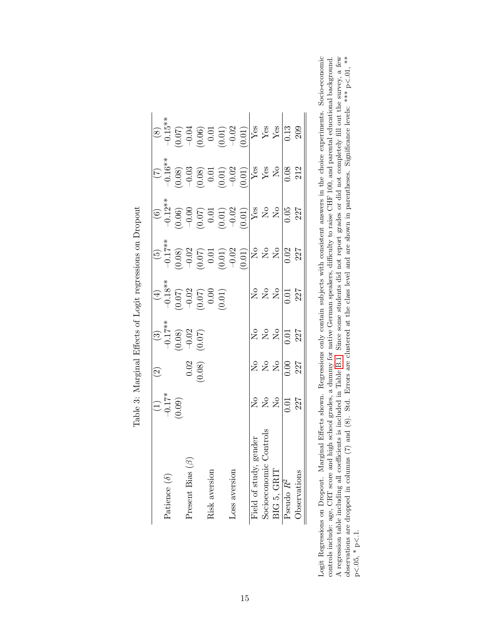|                          |                          | $\widehat{\Omega}$                          |                                                       |                                                                         |                                                                                                                                                                                                                                                                                                              |                                                                                                                                                                                                                                                                                                                                     |                                                                                                                                                                                                                                                                                                                                |                                                                                                                                                                                                                                                                                                  |
|--------------------------|--------------------------|---------------------------------------------|-------------------------------------------------------|-------------------------------------------------------------------------|--------------------------------------------------------------------------------------------------------------------------------------------------------------------------------------------------------------------------------------------------------------------------------------------------------------|-------------------------------------------------------------------------------------------------------------------------------------------------------------------------------------------------------------------------------------------------------------------------------------------------------------------------------------|--------------------------------------------------------------------------------------------------------------------------------------------------------------------------------------------------------------------------------------------------------------------------------------------------------------------------------|--------------------------------------------------------------------------------------------------------------------------------------------------------------------------------------------------------------------------------------------------------------------------------------------------|
| Patience $(\delta)$      |                          |                                             |                                                       |                                                                         |                                                                                                                                                                                                                                                                                                              |                                                                                                                                                                                                                                                                                                                                     |                                                                                                                                                                                                                                                                                                                                |                                                                                                                                                                                                                                                                                                  |
|                          | $(1)$<br>-0.17*<br>0.09) |                                             |                                                       |                                                                         |                                                                                                                                                                                                                                                                                                              |                                                                                                                                                                                                                                                                                                                                     |                                                                                                                                                                                                                                                                                                                                |                                                                                                                                                                                                                                                                                                  |
| Present Bias             |                          |                                             |                                                       |                                                                         |                                                                                                                                                                                                                                                                                                              |                                                                                                                                                                                                                                                                                                                                     |                                                                                                                                                                                                                                                                                                                                |                                                                                                                                                                                                                                                                                                  |
|                          |                          | $\begin{array}{c} 0.02 \\ 0.08 \end{array}$ | $(3)$<br>$-0.17**$<br>$(0.08)$<br>$-0.02$<br>$(0.07)$ | (4)<br>$-0.18**$<br>$-0.07$<br>$-0.02$<br>$-0.07$<br>$-0.00$<br>$-0.01$ | $\begin{array}{c c} (5)\\ -0.17^{**}\\ -0.08)\\ -0.07\\ -0.07\\ -0.07\\ -0.01\\ -0.02\\ -0.01\\ -0.02\\ -0.01\\ -0.02\\ 0.03\\ 227\\ -0.03\\ 237\\ -0.03\\ 24\\ -0.03\\ 25\\ -0.03\\ 26\\ -0.03\\ 27\\ -0.03\\ 28\\ -0.03\\ -0.03\\ -0.03\\ -0.03\\ -0.03\\ -0.03\\ -0.03\\ -0.03\\ -0.03\\ -0.03\\ -0.03\\$ | $\begin{array}{r l} \text{(6)}\\[-4pt] -0.12^{**}\\[-4pt] -0.06\\[-4pt] -0.06\\[-4pt] -0.07\\[-4pt] -0.07\\[-4pt] -0.02\\[-4pt] -0.02\\[-4pt] -0.02\\[-4pt] -0.04\\[-4pt] -0.04\\[-4pt] -0.04\\[-4pt] -0.04\\[-4pt] -0.04\\[-4pt] -0.04\\[-4pt] -0.04\\[-4pt] -0.04\\[-4pt] -0.04\\[-4pt] -0.04\\[-4pt] -0.04\\[-4pt] -0.04\\[-4pt$ | $\begin{array}{r l} \hline (7) \\[-4pt] -0.16^{**} \\[-4pt] -0.08) \\[-4pt] -0.03 & 0.03 \\[-4pt] -0.03 & 0.01 \\[-4pt] -0.01 & 0.02 \\[-4pt] -0.01 & 0.03 \\[-4pt] -0.01 & 0.03 \\[-4pt] -0.03 & 0.03 \\[-4pt] -0.03 & 0.03 \\[-4pt] -0.03 & 0.03 \\[-4pt] -0.03 & 0.03 \\[-4pt] -0.03 & 0.03 \\[-4pt] -0.03 & 0.03 \\[-4pt]$ | $(8)$<br>$9$ 3<br>$-3$ 5<br>$-3$ 6<br>$-3$ 6<br>$-3$ 6<br>$-3$ 6<br>$-3$ 6<br>$-3$ 7<br>$-3$<br>$-3$<br>$-3$<br>$-3$<br>$-3$<br>$-3$<br>$-3$<br>$-3$<br>$-3$<br>$-3$<br>$-3$<br>$-3$<br>$-3$<br>$-3$<br>$-3$<br>$-3$<br>$-3$<br>$-3$<br>$-3$<br>$-3$<br>$-3$<br>$-3$<br>$-3$<br>$-3$<br>$-3$<br> |
| Risk aversion            |                          |                                             |                                                       |                                                                         |                                                                                                                                                                                                                                                                                                              |                                                                                                                                                                                                                                                                                                                                     |                                                                                                                                                                                                                                                                                                                                |                                                                                                                                                                                                                                                                                                  |
|                          |                          |                                             |                                                       |                                                                         |                                                                                                                                                                                                                                                                                                              |                                                                                                                                                                                                                                                                                                                                     |                                                                                                                                                                                                                                                                                                                                |                                                                                                                                                                                                                                                                                                  |
| Loss aversion            |                          |                                             |                                                       |                                                                         |                                                                                                                                                                                                                                                                                                              |                                                                                                                                                                                                                                                                                                                                     |                                                                                                                                                                                                                                                                                                                                |                                                                                                                                                                                                                                                                                                  |
|                          |                          |                                             |                                                       |                                                                         |                                                                                                                                                                                                                                                                                                              |                                                                                                                                                                                                                                                                                                                                     |                                                                                                                                                                                                                                                                                                                                |                                                                                                                                                                                                                                                                                                  |
| gender<br>Field of study |                          |                                             |                                                       |                                                                         |                                                                                                                                                                                                                                                                                                              |                                                                                                                                                                                                                                                                                                                                     |                                                                                                                                                                                                                                                                                                                                |                                                                                                                                                                                                                                                                                                  |
| Socioeconomi             |                          |                                             |                                                       |                                                                         |                                                                                                                                                                                                                                                                                                              |                                                                                                                                                                                                                                                                                                                                     |                                                                                                                                                                                                                                                                                                                                |                                                                                                                                                                                                                                                                                                  |
| BIG 5, GRIT              | 2222                     |                                             | 2222                                                  | 2222                                                                    |                                                                                                                                                                                                                                                                                                              |                                                                                                                                                                                                                                                                                                                                     |                                                                                                                                                                                                                                                                                                                                |                                                                                                                                                                                                                                                                                                  |
| Pseudo $R^2$             |                          |                                             |                                                       |                                                                         |                                                                                                                                                                                                                                                                                                              |                                                                                                                                                                                                                                                                                                                                     |                                                                                                                                                                                                                                                                                                                                |                                                                                                                                                                                                                                                                                                  |
| Observations             |                          |                                             |                                                       |                                                                         |                                                                                                                                                                                                                                                                                                              |                                                                                                                                                                                                                                                                                                                                     |                                                                                                                                                                                                                                                                                                                                |                                                                                                                                                                                                                                                                                                  |

| ł<br>i<br>J<br>ſ              |
|-------------------------------|
| I                             |
| らく ひらく こうじょう<br>I<br>١        |
| $\frac{1}{2}$<br>١            |
| j                             |
| ļ<br>$\ddot{\zeta}$<br>۱<br>ا |
| I<br>i<br>ĺ<br>)<br>Í         |
| l<br>l                        |

<span id="page-15-0"></span>Logit Regressions on Dropout. Marginal Effects shown. Regressions only contain subjects with consistent answers in the choice experiments. Socio-economic<br>controls include: age, CRT score and high school grades, a dummy fo Logit Regressions on Dropout. Marginal Effects shown. Regressions only contain subjects with consistent answers in the choice experiments. Socio-economic A regression table including all coefficients is included in Table [B.1.](#page-32-0) Since some students did not report grades or did not completely fill out the survey, a few observations are dropped in columns (7) and (8). Std. Errors are clustered at the class level and are shown in parentheses. Significance levels: \*\*\* p<.01, \*\* controls include: age, CRT score and high school grades, a dummy for native German speakers, difficulty to raise CHF 100, and parental educational background.  $\rm p<05,~^{\ast}~\rm p<1.$ p<.05, \* p<.1.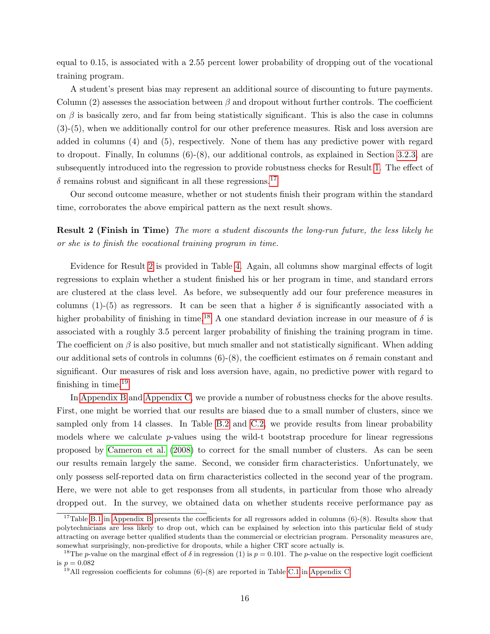equal to 0.15, is associated with a 2.55 percent lower probability of dropping out of the vocational training program.

A student's present bias may represent an additional source of discounting to future payments. Column (2) assesses the association between  $\beta$  and dropout without further controls. The coefficient on  $\beta$  is basically zero, and far from being statistically significant. This is also the case in columns (3)-(5), when we additionally control for our other preference measures. Risk and loss aversion are added in columns (4) and (5), respectively. None of them has any predictive power with regard to dropout. Finally, In columns (6)-(8), our additional controls, as explained in Section [3.2.3,](#page-10-2) are subsequently introduced into the regression to provide robustness checks for Result [1.](#page-14-2) The effect of  $\delta$  remains robust and significant in all these regressions.<sup>[17](#page-16-0)</sup>

Our second outcome measure, whether or not students finish their program within the standard time, corroborates the above empirical pattern as the next result shows.

<span id="page-16-1"></span>**Result 2 (Finish in Time)** The more a student discounts the long-run future, the less likely he or she is to finish the vocational training program in time.

Evidence for Result [2](#page-16-1) is provided in Table [4.](#page-17-0) Again, all columns show marginal effects of logit regressions to explain whether a student finished his or her program in time, and standard errors are clustered at the class level. As before, we subsequently add our four preference measures in columns (1)-(5) as regressors. It can be seen that a higher  $\delta$  is significantly associated with a higher probability of finishing in time.<sup>[18](#page-16-2)</sup> A one standard deviation increase in our measure of  $\delta$  is associated with a roughly 3.5 percent larger probability of finishing the training program in time. The coefficient on  $\beta$  is also positive, but much smaller and not statistically significant. When adding our additional sets of controls in columns (6)-(8), the coefficient estimates on  $\delta$  remain constant and significant. Our measures of risk and loss aversion have, again, no predictive power with regard to finishing in time. $19$ 

In [Appendix B](#page-31-0) and [Appendix C,](#page-35-0) we provide a number of robustness checks for the above results. First, one might be worried that our results are biased due to a small number of clusters, since we sampled only from 14 classes. In Table [B.2](#page-33-0) and [C.2,](#page-36-0) we provide results from linear probability models where we calculate  $p$ -values using the wild-t bootstrap procedure for linear regressions proposed by [Cameron et al.](#page-26-12) [\(2008\)](#page-26-12) to correct for the small number of clusters. As can be seen our results remain largely the same. Second, we consider firm characteristics. Unfortunately, we only possess self-reported data on firm characteristics collected in the second year of the program. Here, we were not able to get responses from all students, in particular from those who already dropped out. In the survey, we obtained data on whether students receive performance pay as

<span id="page-16-0"></span><sup>&</sup>lt;sup>17</sup>Table [B.1](#page-32-0) in [Appendix B](#page-31-0) presents the coefficients for all regressors added in columns  $(6)-(8)$ . Results show that polytechnicians are less likely to drop out, which can be explained by selection into this particular field of study attracting on average better qualified students than the commercial or electrician program. Personality measures are, somewhat surprisingly, non-predictive for dropouts, while a higher CRT score actually is.

<span id="page-16-2"></span><sup>&</sup>lt;sup>18</sup>The *p*-value on the marginal effect of  $\delta$  in regression (1) is  $p = 0.101$ . The *p*-value on the respective logit coefficient is  $p = 0.082$ 

<span id="page-16-3"></span> $^{19}$ All regression coefficients for columns (6)-(8) are reported in Table [C.1](#page-35-1) in [Appendix C.](#page-35-0)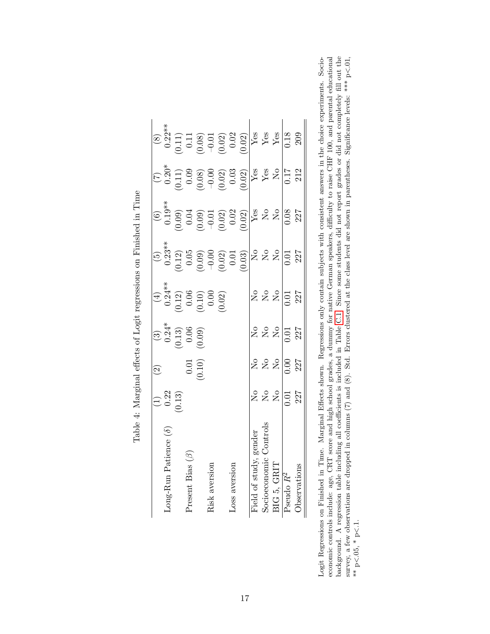|                                        |                                                    | $\widehat{\mathfrak{D}}$ |                                                                      |                                                                       |                  |                                                                                                                                                                                                                                                                                                    |                                                                                                                                                                                                                                                                                                                                                                                                      |                                                                                                                                                                                                                                                                                                                                           |
|----------------------------------------|----------------------------------------------------|--------------------------|----------------------------------------------------------------------|-----------------------------------------------------------------------|------------------|----------------------------------------------------------------------------------------------------------------------------------------------------------------------------------------------------------------------------------------------------------------------------------------------------|------------------------------------------------------------------------------------------------------------------------------------------------------------------------------------------------------------------------------------------------------------------------------------------------------------------------------------------------------------------------------------------------------|-------------------------------------------------------------------------------------------------------------------------------------------------------------------------------------------------------------------------------------------------------------------------------------------------------------------------------------------|
| $\text{long-Run}\$ Patience $(\delta)$ |                                                    |                          |                                                                      |                                                                       |                  |                                                                                                                                                                                                                                                                                                    |                                                                                                                                                                                                                                                                                                                                                                                                      |                                                                                                                                                                                                                                                                                                                                           |
|                                        | $\begin{array}{c} (1) \\ 0.22 \\ 0.13 \end{array}$ |                          |                                                                      |                                                                       |                  |                                                                                                                                                                                                                                                                                                    |                                                                                                                                                                                                                                                                                                                                                                                                      |                                                                                                                                                                                                                                                                                                                                           |
| resent Bias $(\beta)$                  |                                                    |                          |                                                                      |                                                                       |                  |                                                                                                                                                                                                                                                                                                    |                                                                                                                                                                                                                                                                                                                                                                                                      |                                                                                                                                                                                                                                                                                                                                           |
|                                        |                                                    | (0.10)                   | $\begin{pmatrix} 3 \\ 0.24 \\ 0.13 \\ 0.06 \\ 0.06 \\ \end{pmatrix}$ | (4)<br>$0.24**$<br>$0.12)$<br>$0.06$<br>$0.000$<br>$0.000$<br>$0.02)$ |                  |                                                                                                                                                                                                                                                                                                    |                                                                                                                                                                                                                                                                                                                                                                                                      |                                                                                                                                                                                                                                                                                                                                           |
| Risk aversion                          |                                                    |                          |                                                                      |                                                                       |                  |                                                                                                                                                                                                                                                                                                    |                                                                                                                                                                                                                                                                                                                                                                                                      |                                                                                                                                                                                                                                                                                                                                           |
|                                        |                                                    |                          |                                                                      |                                                                       |                  |                                                                                                                                                                                                                                                                                                    |                                                                                                                                                                                                                                                                                                                                                                                                      |                                                                                                                                                                                                                                                                                                                                           |
| LOSS aversion                          |                                                    |                          |                                                                      |                                                                       |                  |                                                                                                                                                                                                                                                                                                    |                                                                                                                                                                                                                                                                                                                                                                                                      |                                                                                                                                                                                                                                                                                                                                           |
|                                        |                                                    |                          |                                                                      |                                                                       |                  | $\begin{array}{c c} (6)\\ 0.19^{**}\\ 0.09)\\ 0.09)\\ 0.010\\ 0.02\\ (0.02)\\ (0.02)\\ (0.02)\\ (0.01)\\ (0.02)\\ (0.03)\\ (0.03)\\ (0.08)\\ (0.08)\\ (0.08)\\ (0.08)\\ (0.08)\\ (0.08)\\ (0.08)\\ (0.08)\\ (0.08)\\ (0.08)\\ (0.08)\\ (0.08)\\ (0.08)\\ (0.08)\\ (0.08)\\ (0.08)\\ (0.08)\\ (0.0$ | $\begin{array}{c} (7) \\ 0.20 \\ 0.11 \\ 0.08 \\ 0.00 \\ 0.01 \\ \end{array} \hspace{-0.8cm} \begin{array}{c} (7) \\ 0.20 \\ 0.03 \\ 0.03 \\ 0.03 \\ \end{array} \hspace{-0.8cm} \begin{array}{c} (7) \\ 0.20 \\ 0.03 \\ 0.03 \\ \end{array} \hspace{-0.8cm} \begin{array}{c} (7) \\ 0.20 \\ 0.03 \\ \end{array} \hspace{-0.8cm} \begin{array}{c} (7) \\ 0.03 \\ 0.03 \\ \end{array} \hspace{-0.8cm$ | $\begin{array}{c c}\n(8) & 0.22** \\ 0.22** \\ 0.11 & 0.000 \\ 0.000 & 0.02 \\ 0.02 & 0.02 \\ \hline\nY_{68} & 8 & 0.08 \\ 0.02 & 0.02 & 0.08 \\ \hline\nY_{68} & 8 & 0.08 \\ 0.03 & 0.02 & 0.08 \\ \hline\nY_{68} & 8 & 0.08 \\ \hline\nY_{68} & 8 & 0.08 \\ \hline\nY_{68} & 8 & 0.08 \\ \hline\nY_{68} & 8 & 0.08 \\ \hline\nY_{68} &$ |
| Field of study, gender                 |                                                    |                          |                                                                      |                                                                       |                  |                                                                                                                                                                                                                                                                                                    |                                                                                                                                                                                                                                                                                                                                                                                                      |                                                                                                                                                                                                                                                                                                                                           |
| Control<br>Socioeconomic               |                                                    |                          |                                                                      |                                                                       |                  |                                                                                                                                                                                                                                                                                                    |                                                                                                                                                                                                                                                                                                                                                                                                      |                                                                                                                                                                                                                                                                                                                                           |
| BIG 5, GRIT                            | 2222                                               |                          | $222$<br>$25$<br>$-227$                                              | 2222                                                                  |                  |                                                                                                                                                                                                                                                                                                    |                                                                                                                                                                                                                                                                                                                                                                                                      |                                                                                                                                                                                                                                                                                                                                           |
| Pseudo R <sup>2</sup>                  |                                                    |                          |                                                                      |                                                                       | $\frac{1}{0.01}$ |                                                                                                                                                                                                                                                                                                    |                                                                                                                                                                                                                                                                                                                                                                                                      |                                                                                                                                                                                                                                                                                                                                           |
|                                        |                                                    |                          |                                                                      |                                                                       |                  |                                                                                                                                                                                                                                                                                                    |                                                                                                                                                                                                                                                                                                                                                                                                      |                                                                                                                                                                                                                                                                                                                                           |
|                                        |                                                    |                          |                                                                      |                                                                       |                  |                                                                                                                                                                                                                                                                                                    |                                                                                                                                                                                                                                                                                                                                                                                                      |                                                                                                                                                                                                                                                                                                                                           |

Table 4: Marginal effects of Logit regressions on Finished in Time Table 4: Marginal effects of Logit regressions on Finished in Time

<span id="page-17-0"></span>economic controls include: age, CRT score and high school grades, a dummy for native German speakers, difficulty to raise CHF 100, and parental educational background. A regression table including all coefficients is incl Logit Regressions on Finished in Time. Marginal Effects shown. Regressions only contain subjects with consistent answers in the choice experiments. Socio-Logit Regressions on Finished in Time. Marginal Effects shown. Regressions only contain subjects with consistent answers in the choice experiments. Socioeconomic controls include: age, CRT score and high school grades, a dummy for native German speakers, difficulty to raise CHF 100, and parental educational background. A regression table including all coefficients is included in Table [C.1.](#page-35-1) Since some students did not report grades or did not completely fill out the survey, a few observations are dropped in columns (7) and (8). Std. Errors clustered at the class level are shown in parentheses. Significance levels: \*\*\* p<.01, \*\* p<.05, \* p<.1. \*\*  $p<.05$ , \*  $p<.1$ .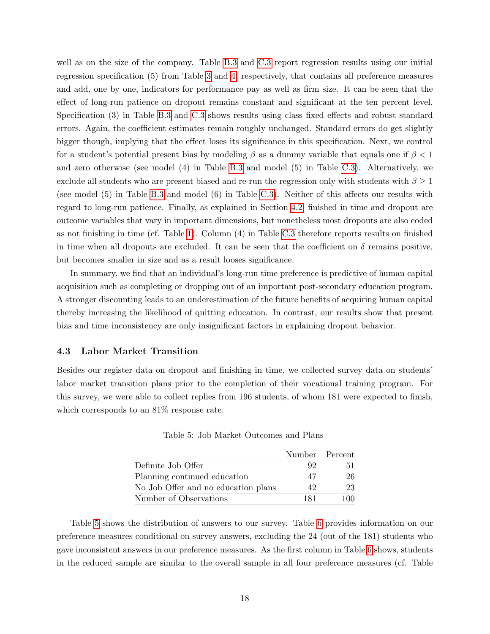well as on the size of the company. Table [B.3](#page-34-0) and [C.3](#page-37-0) report regression results using our initial regression specification (5) from Table [3](#page-15-0) and [4,](#page-17-0) respectively, that contains all preference measures and add, one by one, indicators for performance pay as well as firm size. It can be seen that the effect of long-run patience on dropout remains constant and significant at the ten percent level. Specification (3) in Table [B.3](#page-34-0) and [C.3](#page-37-0) shows results using class fixed effects and robust standard errors. Again, the coefficient estimates remain roughly unchanged. Standard errors do get slightly bigger though, implying that the effect loses its significance in this specification. Next, we control for a student's potential present bias by modeling  $\beta$  as a dummy variable that equals one if  $\beta$  < 1 and zero otherwise (see model (4) in Table [B.3](#page-34-0) and model (5) in Table [C.3\)](#page-37-0). Alternatively, we exclude all students who are present biased and re-run the regression only with students with  $\beta \geq 1$ (see model (5) in Table [B.3](#page-34-0) and model (6) in Table [C.3\)](#page-37-0). Neither of this affects our results with regard to long-run patience. Finally, as explained in Section [4.2,](#page-14-1) finished in time and dropout are outcome variables that vary in important dimensions, but nonetheless most dropouts are also coded as not finishing in time (cf. Table [1\)](#page-13-0). Column (4) in Table [C.3](#page-37-0) therefore reports results on finished in time when all dropouts are excluded. It can be seen that the coefficient on  $\delta$  remains positive, but becomes smaller in size and as a result looses significance.

In summary, we find that an individual's long-run time preference is predictive of human capital acquisition such as completing or dropping out of an important post-secondary education program. A stronger discounting leads to an underestimation of the future benefits of acquiring human capital thereby increasing the likelihood of quitting education. In contrast, our results show that present bias and time inconsistency are only insignificant factors in explaining dropout behavior.

#### <span id="page-18-0"></span>4.3 Labor Market Transition

Besides our register data on dropout and finishing in time, we collected survey data on students' labor market transition plans prior to the completion of their vocational training program. For this survey, we were able to collect replies from 196 students, of whom 181 were expected to finish, which corresponds to an  $81\%$  response rate.

|                                     | Number Percent |     |
|-------------------------------------|----------------|-----|
| Definite Job Offer                  | 92             | 51  |
| Planning continued education        | 47             | 26  |
| No Job Offer and no education plans | 42             | 23  |
| Number of Observations              | 181            | 100 |

<span id="page-18-1"></span>Table 5: Job Market Outcomes and Plans

Table [5](#page-18-1) shows the distribution of answers to our survey. Table [6](#page-19-0) provides information on our preference measures conditional on survey answers, excluding the 24 (out of the 181) students who gave inconsistent answers in our preference measures. As the first column in Table [6](#page-19-0) shows, students in the reduced sample are similar to the overall sample in all four preference measures (cf. Table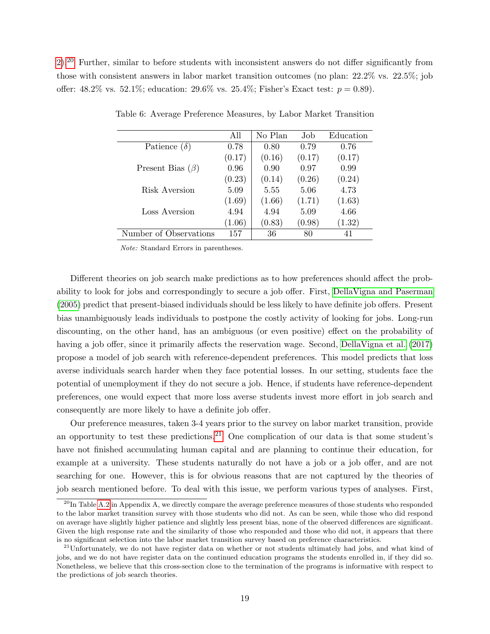[2\)](#page-14-0).[20](#page-19-1) Further, similar to before students with inconsistent answers do not differ significantly from those with consistent answers in labor market transition outcomes (no plan: 22.2% vs. 22.5%; job offer: 48.2% vs. 52.1%; education: 29.6% vs. 25.4%; Fisher's Exact test:  $p = 0.89$ ).

|                        | All    | No Plan | Job    | Education |
|------------------------|--------|---------|--------|-----------|
| Patience $(\delta)$    | 0.78   | 0.80    | 0.79   | 0.76      |
|                        | (0.17) | (0.16)  | (0.17) | (0.17)    |
| Present Bias $(\beta)$ | 0.96   | 0.90    | 0.97   | 0.99      |
|                        | (0.23) | (0.14)  | (0.26) | (0.24)    |
| Risk Aversion          | 5.09   | 5.55    | 5.06   | 4.73      |
|                        | (1.69) | (1.66)  | (1.71) | (1.63)    |
| Loss Aversion          | 4.94   | 4.94    | 5.09   | 4.66      |
|                        | (1.06) | (0.83)  | (0.98) | (1.32)    |
| Number of Observations | 157    | 36      | 80     |           |

<span id="page-19-0"></span>Table 6: Average Preference Measures, by Labor Market Transition

Note: Standard Errors in parentheses.

Different theories on job search make predictions as to how preferences should affect the probability to look for jobs and correspondingly to secure a job offer. First, [DellaVigna and Paserman](#page-26-2) [\(2005\)](#page-26-2) predict that present-biased individuals should be less likely to have definite job offers. Present bias unambiguously leads individuals to postpone the costly activity of looking for jobs. Long-run discounting, on the other hand, has an ambiguous (or even positive) effect on the probability of having a job offer, since it primarily affects the reservation wage. Second, [DellaVigna et al.](#page-26-4) [\(2017\)](#page-26-4) propose a model of job search with reference-dependent preferences. This model predicts that loss averse individuals search harder when they face potential losses. In our setting, students face the potential of unemployment if they do not secure a job. Hence, if students have reference-dependent preferences, one would expect that more loss averse students invest more effort in job search and consequently are more likely to have a definite job offer.

Our preference measures, taken 3-4 years prior to the survey on labor market transition, provide an opportunity to test these predictions.<sup>[21](#page-19-2)</sup> One complication of our data is that some student's have not finished accumulating human capital and are planning to continue their education, for example at a university. These students naturally do not have a job or a job offer, and are not searching for one. However, this is for obvious reasons that are not captured by the theories of job search mentioned before. To deal with this issue, we perform various types of analyses. First,

<span id="page-19-1"></span> $^{20}$ In Table [A.2](#page-31-1) in Appendix A, we directly compare the average preference measures of those students who responded to the labor market transition survey with those students who did not. As can be seen, while those who did respond on average have slightly higher patience and slightly less present bias, none of the observed differences are significant. Given the high response rate and the similarity of those who responded and those who did not, it appears that there is no significant selection into the labor market transition survey based on preference characteristics.

<span id="page-19-2"></span><sup>&</sup>lt;sup>21</sup>Unfortunately, we do not have register data on whether or not students ultimately had jobs, and what kind of jobs, and we do not have register data on the continued education programs the students enrolled in, if they did so. Nonetheless, we believe that this cross-section close to the termination of the programs is informative with respect to the predictions of job search theories.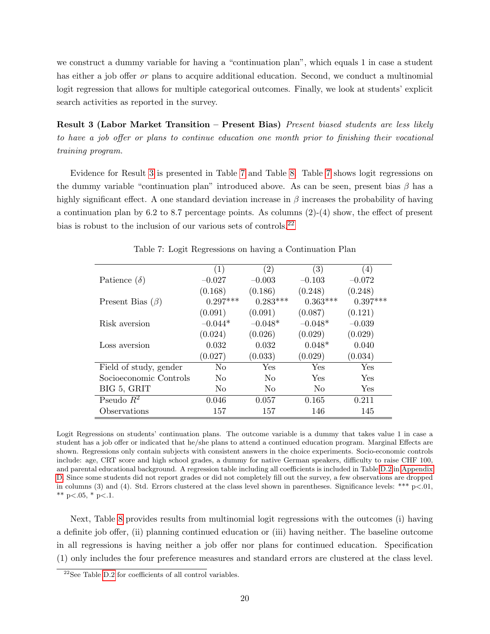we construct a dummy variable for having a "continuation plan", which equals 1 in case a student has either a job offer *or* plans to acquire additional education. Second, we conduct a multinomial logit regression that allows for multiple categorical outcomes. Finally, we look at students' explicit search activities as reported in the survey.

<span id="page-20-0"></span>Result 3 (Labor Market Transition – Present Bias) Present biased students are less likely to have a job offer or plans to continue education one month prior to finishing their vocational training program.

Evidence for Result [3](#page-20-0) is presented in Table [7](#page-20-1) and Table [8.](#page-22-0) Table [7](#page-20-1) shows logit regressions on the dummy variable "continuation plan" introduced above. As can be seen, present bias  $\beta$  has a highly significant effect. A one standard deviation increase in  $\beta$  increases the probability of having a continuation plan by 6.2 to 8.7 percentage points. As columns (2)-(4) show, the effect of present bias is robust to the inclusion of our various sets of controls.<sup>[22](#page-20-2)</sup>

|                        | (1)            | $\left( 2\right)$ | $\left( 3\right)$ | (4)        |
|------------------------|----------------|-------------------|-------------------|------------|
| Patience $(\delta)$    | $-0.027$       | $-0.003$          | $-0.103$          | $-0.072$   |
|                        | (0.168)        | (0.186)           | (0.248)           | (0.248)    |
| Present Bias $(\beta)$ | $0.297***$     | $0.283***$        | $0.363***$        | $0.397***$ |
|                        | (0.091)        | (0.091)           | (0.087)           | (0.121)    |
| Risk aversion          | $-0.044*$      | $-0.048*$         | $-0.048*$         | $-0.039$   |
|                        | (0.024)        | (0.026)           | (0.029)           | (0.029)    |
| Loss aversion          | 0.032          | 0.032             | $0.048*$          | 0.040      |
|                        | (0.027)        | (0.033)           | (0.029)           | (0.034)    |
| Field of study, gender | No             | Yes               | Yes               | Yes        |
| Socioeconomic Controls | N <sub>0</sub> | N <sub>0</sub>    | Yes               | Yes        |
| BIG 5, GRIT            | N <sub>0</sub> | N <sub>0</sub>    | N <sub>0</sub>    | Yes        |
| Pseudo $R^2$           | 0.046          | 0.057             | 0.165             | 0.211      |
| Observations           | 157            | 157               | 146               | 145        |

<span id="page-20-1"></span>Table 7: Logit Regressions on having a Continuation Plan

Logit Regressions on students' continuation plans. The outcome variable is a dummy that takes value 1 in case a student has a job offer or indicated that he/she plans to attend a continued education program. Marginal Effects are shown. Regressions only contain subjects with consistent answers in the choice experiments. Socio-economic controls include: age, CRT score and high school grades, a dummy for native German speakers, difficulty to raise CHF 100, and parental educational background. A regression table including all coefficients is included in Table [D.2](#page-40-0) in [Appendix](#page-38-0) [D.](#page-38-0) Since some students did not report grades or did not completely fill out the survey, a few observations are dropped in columns (3) and (4). Std. Errors clustered at the class level shown in parentheses. Significance levels: \*\*\* p<.01, \*\* p<.05, \* p<.1.

Next, Table [8](#page-22-0) provides results from multinomial logit regressions with the outcomes (i) having a definite job offer, (ii) planning continued education or (iii) having neither. The baseline outcome in all regressions is having neither a job offer nor plans for continued education. Specification (1) only includes the four preference measures and standard errors are clustered at the class level.

<span id="page-20-2"></span> $22$ See Table [D.2](#page-40-0) for coefficients of all control variables.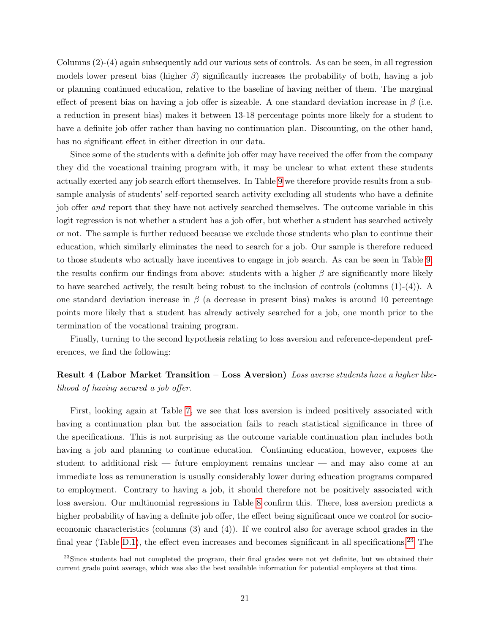Columns (2)-(4) again subsequently add our various sets of controls. As can be seen, in all regression models lower present bias (higher  $\beta$ ) significantly increases the probability of both, having a job or planning continued education, relative to the baseline of having neither of them. The marginal effect of present bias on having a job offer is sizeable. A one standard deviation increase in  $\beta$  (i.e. a reduction in present bias) makes it between 13-18 percentage points more likely for a student to have a definite job offer rather than having no continuation plan. Discounting, on the other hand, has no significant effect in either direction in our data.

Since some of the students with a definite job offer may have received the offer from the company they did the vocational training program with, it may be unclear to what extent these students actually exerted any job search effort themselves. In Table [9](#page-23-0) we therefore provide results from a subsample analysis of students' self-reported search activity excluding all students who have a definite job offer and report that they have not actively searched themselves. The outcome variable in this logit regression is not whether a student has a job offer, but whether a student has searched actively or not. The sample is further reduced because we exclude those students who plan to continue their education, which similarly eliminates the need to search for a job. Our sample is therefore reduced to those students who actually have incentives to engage in job search. As can be seen in Table [9,](#page-23-0) the results confirm our findings from above: students with a higher  $\beta$  are significantly more likely to have searched actively, the result being robust to the inclusion of controls (columns (1)-(4)). A one standard deviation increase in  $\beta$  (a decrease in present bias) makes is around 10 percentage points more likely that a student has already actively searched for a job, one month prior to the termination of the vocational training program.

Finally, turning to the second hypothesis relating to loss aversion and reference-dependent preferences, we find the following:

## Result 4 (Labor Market Transition – Loss Aversion) Loss averse students have a higher likelihood of having secured a job offer.

First, looking again at Table [7,](#page-20-1) we see that loss aversion is indeed positively associated with having a continuation plan but the association fails to reach statistical significance in three of the specifications. This is not surprising as the outcome variable continuation plan includes both having a job and planning to continue education. Continuing education, however, exposes the student to additional risk — future employment remains unclear — and may also come at an immediate loss as remuneration is usually considerably lower during education programs compared to employment. Contrary to having a job, it should therefore not be positively associated with loss aversion. Our multinomial regressions in Table [8](#page-22-0) confirm this. There, loss aversion predicts a higher probability of having a definite job offer, the effect being significant once we control for socioeconomic characteristics (columns (3) and (4)). If we control also for average school grades in the final year (Table [D.1\)](#page-39-0), the effect even increases and becomes significant in all specifications.<sup>[23](#page-21-0)</sup> The

<span id="page-21-0"></span><sup>&</sup>lt;sup>23</sup>Since students had not completed the program, their final grades were not yet definite, but we obtained their current grade point average, which was also the best available information for potential employers at that time.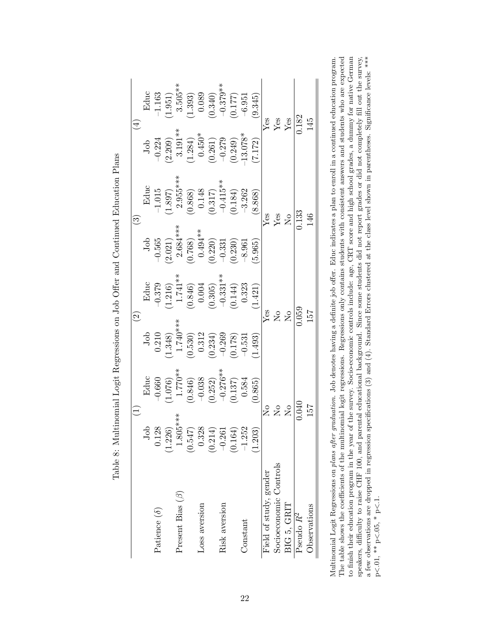|                        |                           |                                                                                                        | $\widetilde{\mathcal{S}}$                                                |                                                                                                           |                                          | $\widehat{\mathbb{C}}$                                                                                     |                                                                                     |                       |
|------------------------|---------------------------|--------------------------------------------------------------------------------------------------------|--------------------------------------------------------------------------|-----------------------------------------------------------------------------------------------------------|------------------------------------------|------------------------------------------------------------------------------------------------------------|-------------------------------------------------------------------------------------|-----------------------|
|                        | ā                         | Educ                                                                                                   |                                                                          |                                                                                                           | Job                                      | Educ                                                                                                       | $_{\rm{Job}}$                                                                       | Educ                  |
| Patience $(\delta)$    | 0.128                     | $-0.660$                                                                                               | $3$ ob<br>0.210                                                          | Educ<br>0.379                                                                                             | $-0.565$                                 | $-1.015$                                                                                                   | $-0.224$                                                                            | $-1.163$              |
|                        | (1.226)                   |                                                                                                        |                                                                          |                                                                                                           |                                          |                                                                                                            |                                                                                     |                       |
| Present Bias $(\beta)$ | ***<br>1.805              | $1.076$<br>$1.770**$                                                                                   |                                                                          |                                                                                                           | $(2.021)$<br>2.684***                    | $(1.897)$<br>2.955***                                                                                      |                                                                                     | $(1.951)$<br>3.505**  |
|                        | (0.547)                   | $\begin{array}{c} (0.846) \\ -0.038 \\ (0.252) \\ -0.276** \\ (0.137) \\ (0.137) \\ 0.584 \end{array}$ | $(1.348)$<br>$1.740***$<br>$(0.530)$<br>$0.312$<br>$(0.234)$<br>$-0.269$ | $\begin{array}{l} (1.216)\\ 1.741**\\ (0.846)\\ 0.004\\ (0.305)\\ -0.331**\\ (0.144)\\ 0.323 \end{array}$ | $(0.768)$<br>0.494**<br>0.220)<br>-0.331 | $\begin{array}{c} (0.868) \\ 0.148 \\ (0.317) \\ -0.415^{**} \\ -0.4184) \\ (0.184) \\ -3.262 \end{array}$ | $\begin{array}{c} 2.209)\\ 3.191**\\ 1.284)\\ 0.450*\\ 0.261)\\ -0.279 \end{array}$ | (1.393)               |
| Loss aversion          | 0.328                     |                                                                                                        |                                                                          |                                                                                                           |                                          |                                                                                                            |                                                                                     | 0.089                 |
|                        | (0.214)                   |                                                                                                        |                                                                          |                                                                                                           |                                          |                                                                                                            |                                                                                     |                       |
| Risk aversion          | $-0.261$                  |                                                                                                        |                                                                          |                                                                                                           |                                          |                                                                                                            |                                                                                     | $(0.340)$<br>-0.379** |
|                        | (0.164)                   |                                                                                                        | (0.178)                                                                  |                                                                                                           | (0.230)                                  |                                                                                                            | $(0.249)$<br>-13.078*                                                               | $(0.177)$<br>-6.951   |
| Constant               | $-1.252$                  |                                                                                                        | $-0.531$                                                                 |                                                                                                           | $-8.961$                                 |                                                                                                            |                                                                                     |                       |
|                        | (1.203)                   | (0.865)                                                                                                | 1.493                                                                    | 1.421)                                                                                                    | 5.965                                    | (8.868)                                                                                                    | (7.172)                                                                             | (9.345)               |
| Field of study, gender |                           | $\mathop{\mathsf{S}}\nolimits$                                                                         |                                                                          |                                                                                                           |                                          |                                                                                                            |                                                                                     |                       |
| Socioeconomic Controls | $\overline{\mathsf{S}}$   |                                                                                                        | <b>SES</b><br>ES                                                         |                                                                                                           |                                          | <b>Agg</b><br>Xgg<br>Xo                                                                                    |                                                                                     | yes<br>Yes<br>Yes     |
| BIG 5, GRIT            | $\rm \stackrel{\circ}{Z}$ |                                                                                                        |                                                                          |                                                                                                           |                                          |                                                                                                            |                                                                                     |                       |
| Pseudo $R^2$           |                           | 0.040                                                                                                  | 0.059                                                                    |                                                                                                           |                                          | 0.133                                                                                                      |                                                                                     | 0.182                 |
| Observations           | 157                       |                                                                                                        | 157                                                                      |                                                                                                           |                                          | 146                                                                                                        |                                                                                     | 145                   |

Table 8: Multinomial Logit Regressions on Job Offer and Continued Education Plans Table 8: Multinomial Logit Regressions on Job Offer and Continued Education Plans

<span id="page-22-0"></span>The table shows the coefficients of the multinomial logit regressions. Regressions only contains students with consistent answers and students who are expected to finish their education program in the year of the survey. Socio-economic controls include: age, CRT score and high school grades, a dummy for native German speakers, difficulty to raise CHF 100, and parental educational background. Since some students did not report grades or did not completely fill out the survey, a few observations are dropped in regression specifications Multinomial Logit Regressions on plans after graduation. Job denotes having a definite job offer. Educ indicates a plan to enroll in a continued education program. The table shows the coefficients of the multinomial logit regressions. Regressions only contains students with consistent answers and students who are expected to finish their education program in the year of the survey. Socio-economic controls include: age, CRT score and high school grades, a dummy for native German Multinomial Logit Regressions on plans after graduation. Job denotes having a definite job offer. Educ indicates a plan to enroll in a continued education program. speakers, difficulty to raise CHF 100, and parental educational background. Since some students did not report grades or did not completely fill out the survey, a few observations are dropped in regression specifications (3) and (4). Standard Errors clustered at the class level shown in parentheses. Significance levels: \*\*\*  $\frac{1}{\sqrt{2}}$  $\lt.05, * p \cdot$  $p < 0.01$ , \*\*  $p \cdot$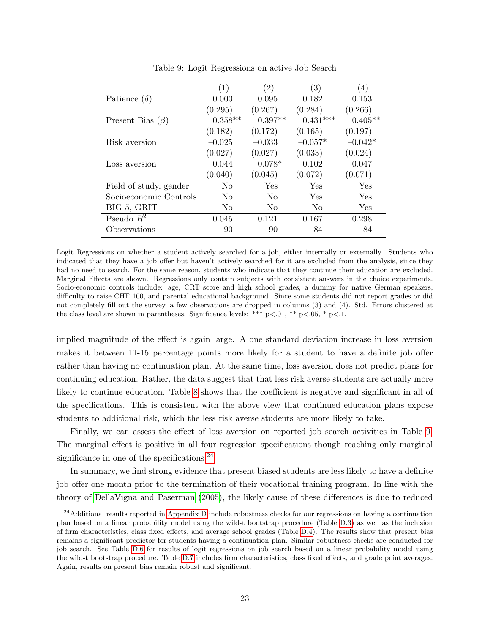|                        | (1)            | $\left( 2\right)$ | (3)            | $\left( 4\right)$ |
|------------------------|----------------|-------------------|----------------|-------------------|
| Patience $(\delta)$    | 0.000          | 0.095             | 0.182          | 0.153             |
|                        | (0.295)        | (0.267)           | (0.284)        | (0.266)           |
| Present Bias $(\beta)$ | $0.358**$      | $0.397**$         | $0.431***$     | $0.405**$         |
|                        | (0.182)        | (0.172)           | (0.165)        | (0.197)           |
| Risk aversion          | $-0.025$       | $-0.033$          | $-0.057*$      | $-0.042*$         |
|                        | (0.027)        | (0.027)           | (0.033)        | (0.024)           |
| Loss aversion          | 0.044          | $0.078*$          | 0.102          | 0.047             |
|                        | (0.040)        | (0.045)           | (0.072)        | (0.071)           |
| Field of study, gender | $\rm No$       | Yes               | Yes            | Yes               |
| Socioeconomic Controls | N <sub>0</sub> | N <sub>0</sub>    | Yes            | Yes               |
| BIG 5, GRIT            | N <sub>0</sub> | N <sub>0</sub>    | N <sub>0</sub> | Yes               |
| Pseudo $R^2$           | 0.045          | 0.121             | 0.167          | 0.298             |
| Observations           | 90             | 90                | 84             | 84                |

<span id="page-23-0"></span>Table 9: Logit Regressions on active Job Search

Logit Regressions on whether a student actively searched for a job, either internally or externally. Students who indicated that they have a job offer but haven't actively searched for it are excluded from the analysis, since they had no need to search. For the same reason, students who indicate that they continue their education are excluded. Marginal Effects are shown. Regressions only contain subjects with consistent answers in the choice experiments. Socio-economic controls include: age, CRT score and high school grades, a dummy for native German speakers, difficulty to raise CHF 100, and parental educational background. Since some students did not report grades or did not completely fill out the survey, a few observations are dropped in columns (3) and (4). Std. Errors clustered at the class level are shown in parentheses. Significance levels: \*\*\*  $p < .01$ , \*\*  $p < .05$ , \*  $p < .1$ .

implied magnitude of the effect is again large. A one standard deviation increase in loss aversion makes it between 11-15 percentage points more likely for a student to have a definite job offer rather than having no continuation plan. At the same time, loss aversion does not predict plans for continuing education. Rather, the data suggest that that less risk averse students are actually more likely to continue education. Table [8](#page-22-0) shows that the coefficient is negative and significant in all of the specifications. This is consistent with the above view that continued education plans expose students to additional risk, which the less risk averse students are more likely to take.

Finally, we can assess the effect of loss aversion on reported job search activities in Table [9.](#page-23-0) The marginal effect is positive in all four regression specifications though reaching only marginal significance in one of the specifications. $^{24}$  $^{24}$  $^{24}$ 

In summary, we find strong evidence that present biased students are less likely to have a definite job offer one month prior to the termination of their vocational training program. In line with the theory of [DellaVigna and Paserman](#page-26-2) [\(2005\)](#page-26-2), the likely cause of these differences is due to reduced

<span id="page-23-1"></span> $^{24}$ Additional results reported in [Appendix D](#page-38-0) include robustness checks for our regressions on having a continuation plan based on a linear probability model using the wild-t bootstrap procedure (Table [D.3\)](#page-41-0) as well as the inclusion of firm characteristics, class fixed effects, and average school grades (Table [D.4\)](#page-42-0). The results show that present bias remains a significant predictor for students having a continuation plan. Similar robustness checks are conducted for job search. See Table [D.6](#page-44-0) for results of logit regressions on job search based on a linear probability model using the wild-t bootstrap procedure. Table [D.7](#page-45-0) includes firm characteristics, class fixed effects, and grade point averages. Again, results on present bias remain robust and significant.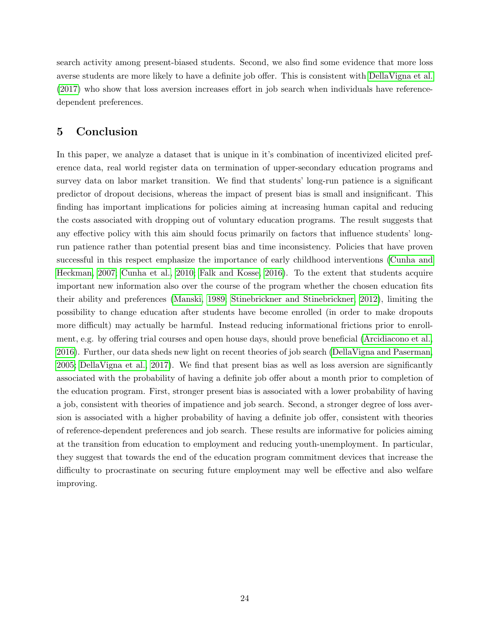search activity among present-biased students. Second, we also find some evidence that more loss averse students are more likely to have a definite job offer. This is consistent with [DellaVigna et al.](#page-26-4) [\(2017\)](#page-26-4) who show that loss aversion increases effort in job search when individuals have referencedependent preferences.

## 5 Conclusion

In this paper, we analyze a dataset that is unique in it's combination of incentivized elicited preference data, real world register data on termination of upper-secondary education programs and survey data on labor market transition. We find that students' long-run patience is a significant predictor of dropout decisions, whereas the impact of present bias is small and insignificant. This finding has important implications for policies aiming at increasing human capital and reducing the costs associated with dropping out of voluntary education programs. The result suggests that any effective policy with this aim should focus primarily on factors that influence students' longrun patience rather than potential present bias and time inconsistency. Policies that have proven successful in this respect emphasize the importance of early childhood interventions [\(Cunha and](#page-26-5) [Heckman, 2007;](#page-26-5) [Cunha et al., 2010;](#page-26-13) [Falk and Kosse, 2016\)](#page-26-6). To the extent that students acquire important new information also over the course of the program whether the chosen education fits their ability and preferences [\(Manski, 1989;](#page-27-4) [Stinebrickner and Stinebrickner, 2012\)](#page-28-2), limiting the possibility to change education after students have become enrolled (in order to make dropouts more difficult) may actually be harmful. Instead reducing informational frictions prior to enrollment, e.g. by offering trial courses and open house days, should prove beneficial [\(Arcidiacono et al.,](#page-25-2) [2016\)](#page-25-2). Further, our data sheds new light on recent theories of job search [\(DellaVigna and Paserman,](#page-26-2) [2005;](#page-26-2) [DellaVigna et al., 2017\)](#page-26-4). We find that present bias as well as loss aversion are significantly associated with the probability of having a definite job offer about a month prior to completion of the education program. First, stronger present bias is associated with a lower probability of having a job, consistent with theories of impatience and job search. Second, a stronger degree of loss aversion is associated with a higher probability of having a definite job offer, consistent with theories of reference-dependent preferences and job search. These results are informative for policies aiming at the transition from education to employment and reducing youth-unemployment. In particular, they suggest that towards the end of the education program commitment devices that increase the difficulty to procrastinate on securing future employment may well be effective and also welfare improving.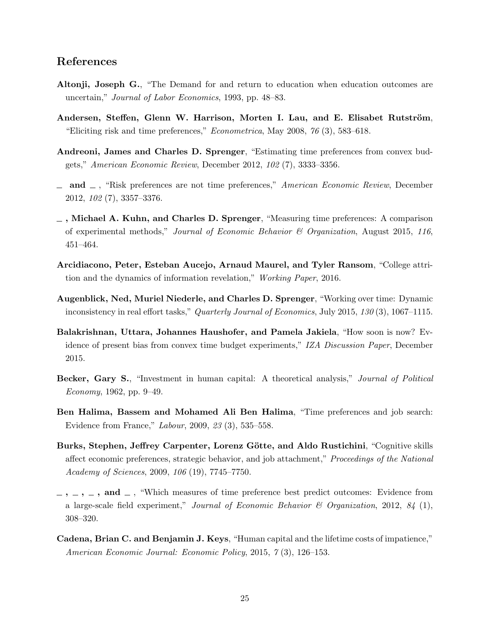## References

- <span id="page-25-1"></span>Altonji, Joseph G., "The Demand for and return to education when education outcomes are uncertain," Journal of Labor Economics, 1993, pp. 48–83.
- <span id="page-25-7"></span>Andersen, Steffen, Glenn W. Harrison, Morten I. Lau, and E. Elisabet Rutström, "Eliciting risk and time preferences," Econometrica, May 2008, 76 (3), 583–618.
- <span id="page-25-8"></span>Andreoni, James and Charles D. Sprenger, "Estimating time preferences from convex budgets," American Economic Review, December 2012, 102 (7), 3333–3356.
- <span id="page-25-9"></span> $\Box$  and  $\Box$ , "Risk preferences are not time preferences," American Economic Review, December 2012, 102 (7), 3357–3376.
- <span id="page-25-11"></span>, Michael A. Kuhn, and Charles D. Sprenger, "Measuring time preferences: A comparison of experimental methods," Journal of Economic Behavior  $\mathcal C$  Organization, August 2015, 116, 451–464.
- <span id="page-25-2"></span>Arcidiacono, Peter, Esteban Aucejo, Arnaud Maurel, and Tyler Ransom, "College attrition and the dynamics of information revelation," Working Paper, 2016.
- <span id="page-25-10"></span>Augenblick, Ned, Muriel Niederle, and Charles D. Sprenger, "Working over time: Dynamic inconsistency in real effort tasks," Quarterly Journal of Economics, July 2015, 130 (3), 1067–1115.
- <span id="page-25-6"></span>Balakrishnan, Uttara, Johannes Haushofer, and Pamela Jakiela, "How soon is now? Evidence of present bias from convex time budget experiments," IZA Discussion Paper, December 2015.
- <span id="page-25-0"></span>Becker, Gary S., "Investment in human capital: A theoretical analysis," Journal of Political Economy, 1962, pp. 9–49.
- <span id="page-25-4"></span>Ben Halima, Bassem and Mohamed Ali Ben Halima, "Time preferences and job search: Evidence from France," Labour, 2009, 23 (3), 535–558.
- <span id="page-25-12"></span>Burks, Stephen, Jeffrey Carpenter, Lorenz Götte, and Aldo Rustichini, "Cognitive skills affect economic preferences, strategic behavior, and job attachment," *Proceedings of the National* Academy of Sciences, 2009, 106 (19), 7745–7750.
- <span id="page-25-5"></span> $-$ ,  $-$ ,  $-$ ,  $-$ , and  $-$ , "Which measures of time preference best predict outcomes: Evidence from a large-scale field experiment," Journal of Economic Behavior & Organization, 2012, 84 (1), 308–320.
- <span id="page-25-3"></span>Cadena, Brian C. and Benjamin J. Keys, "Human capital and the lifetime costs of impatience," American Economic Journal: Economic Policy, 2015, 7 (3), 126–153.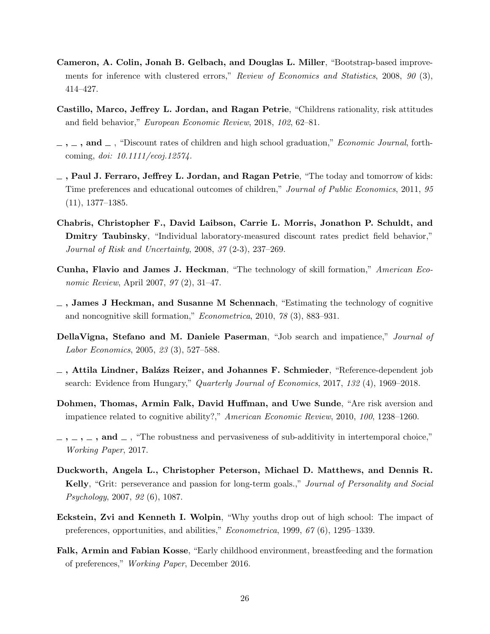- <span id="page-26-12"></span>Cameron, A. Colin, Jonah B. Gelbach, and Douglas L. Miller, "Bootstrap-based improvements for inference with clustered errors," Review of Economics and Statistics, 2008, 90 (3), 414–427.
- <span id="page-26-8"></span>Castillo, Marco, Jeffrey L. Jordan, and Ragan Petrie, "Childrens rationality, risk attitudes and field behavior," European Economic Review, 2018, 102, 62–81.
- <span id="page-26-1"></span> $\ldots$ , and  $\ldots$ , "Discount rates of children and high school graduation," *Economic Journal*, forthcoming, doi: 10.1111/ecoj.12574.
- <span id="page-26-7"></span> $\Box$ , Paul J. Ferraro, Jeffrey L. Jordan, and Ragan Petrie, "The today and tomorrow of kids: Time preferences and educational outcomes of children," Journal of Public Economics, 2011, 95 (11), 1377–1385.
- <span id="page-26-9"></span>Chabris, Christopher F., David Laibson, Carrie L. Morris, Jonathon P. Schuldt, and Dmitry Taubinsky, "Individual laboratory-measured discount rates predict field behavior," Journal of Risk and Uncertainty, 2008, 37 (2-3), 237–269.
- <span id="page-26-5"></span>Cunha, Flavio and James J. Heckman, "The technology of skill formation," American Economic Review, April 2007, 97 (2), 31–47.
- <span id="page-26-13"></span> $\Box$ , James J Heckman, and Susanne M Schennach, "Estimating the technology of cognitive and noncognitive skill formation," Econometrica, 2010, 78 (3), 883–931.
- <span id="page-26-2"></span>DellaVigna, Stefano and M. Daniele Paserman, "Job search and impatience," Journal of Labor Economics, 2005, 23 (3), 527–588.
- <span id="page-26-4"></span> $\overline{\phantom{a}}$ , Attila Lindner, Balázs Reizer, and Johannes F. Schmieder, "Reference-dependent job search: Evidence from Hungary," Quarterly Journal of Economics, 2017, 132 (4), 1969–2018.
- <span id="page-26-3"></span>Dohmen, Thomas, Armin Falk, David Huffman, and Uwe Sunde, "Are risk aversion and impatience related to cognitive ability?," American Economic Review, 2010, 100, 1238–1260.
- <span id="page-26-10"></span> $, \ldots, \ldots, \text{ and } \ldots$ , "The robustness and pervasiveness of sub-additivity in intertemporal choice," Working Paper, 2017.
- <span id="page-26-11"></span>Duckworth, Angela L., Christopher Peterson, Michael D. Matthews, and Dennis R. Kelly, "Grit: perseverance and passion for long-term goals.," Journal of Personality and Social Psychology, 2007, 92 (6), 1087.
- <span id="page-26-0"></span>Eckstein, Zvi and Kenneth I. Wolpin, "Why youths drop out of high school: The impact of preferences, opportunities, and abilities," Econometrica, 1999, 67 (6), 1295–1339.
- <span id="page-26-6"></span>Falk, Armin and Fabian Kosse, "Early childhood environment, breastfeeding and the formation of preferences," Working Paper, December 2016.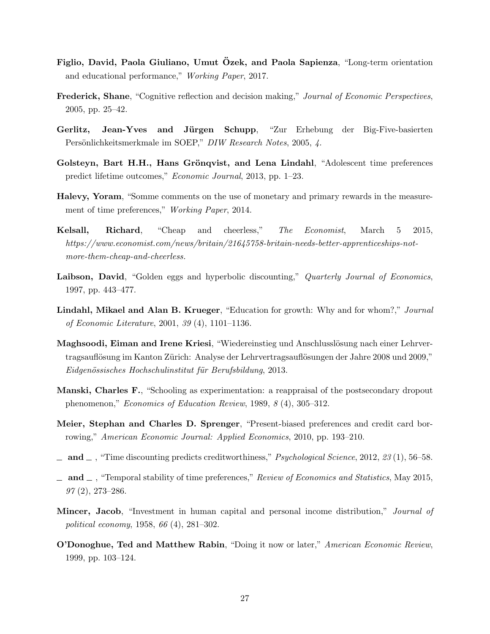- <span id="page-27-3"></span>Figlio, David, Paola Giuliano, Umut Özek, and Paola Sapienza, "Long-term orientation and educational performance," Working Paper, 2017.
- <span id="page-27-14"></span>Frederick, Shane, "Cognitive reflection and decision making," Journal of Economic Perspectives, 2005, pp. 25–42.
- <span id="page-27-13"></span>Gerlitz, Jean-Yves and Jürgen Schupp, "Zur Erhebung der Big-Five-basierten Persönlichkeitsmerkmale im SOEP," DIW Research Notes, 2005, 4.
- <span id="page-27-2"></span>Golsteyn, Bart H.H., Hans Grönqvist, and Lena Lindahl, "Adolescent time preferences predict lifetime outcomes," Economic Journal, 2013, pp. 1–23.
- <span id="page-27-12"></span>Halevy, Yoram, "Somme comments on the use of monetary and primary rewards in the measurement of time preferences," *Working Paper*, 2014.
- <span id="page-27-10"></span>Kelsall, Richard, "Cheap and cheerless," The Economist, March 5 2015, https://www.economist.com/news/britain/21645758-britain-needs-better-apprenticeships-notmore-them-cheap-and-cheerless.
- <span id="page-27-5"></span>Laibson, David, "Golden eggs and hyperbolic discounting," Quarterly Journal of Economics, 1997, pp. 443–477.
- <span id="page-27-0"></span>Lindahl, Mikael and Alan B. Krueger, "Education for growth: Why and for whom?," Journal of Economic Literature, 2001, 39 (4), 1101–1136.
- <span id="page-27-7"></span>Maghsoodi, Eiman and Irene Kriesi, "Wiedereinstieg und Anschlusslösung nach einer Lehrvertragsauflösung im Kanton Zürich: Analyse der Lehrvertragsauflösungen der Jahre 2008 und 2009," Eidgenössisches Hochschulinstitut für Berufsbildung, 2013.
- <span id="page-27-4"></span>Manski, Charles F., "Schooling as experimentation: a reappraisal of the postsecondary dropout phenomenon," Economics of Education Review, 1989, 8 (4), 305–312.
- <span id="page-27-8"></span>Meier, Stephan and Charles D. Sprenger, "Present-biased preferences and credit card borrowing," American Economic Journal: Applied Economics, 2010, pp. 193–210.
- <span id="page-27-9"></span> $\Box$  and  $\Box$ , "Time discounting predicts creditworthiness," *Psychological Science*, 2012, 23 (1), 56–58.
- <span id="page-27-11"></span> $\Box$  and  $\Box$ , "Temporal stability of time preferences," Review of Economics and Statistics, May 2015, 97 (2), 273–286.
- <span id="page-27-1"></span>Mincer, Jacob, "Investment in human capital and personal income distribution," *Journal of* political economy, 1958, 66 (4), 281–302.
- <span id="page-27-6"></span>**O'Donoghue, Ted and Matthew Rabin, "Doing it now or later," American Economic Review,** 1999, pp. 103–124.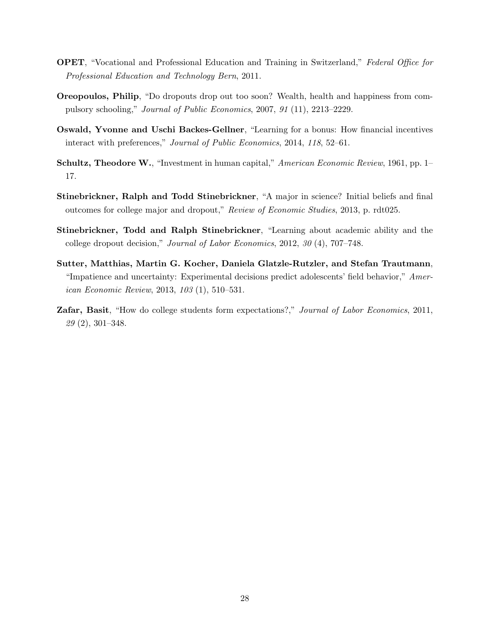- <span id="page-28-6"></span>OPET, "Vocational and Professional Education and Training in Switzerland," Federal Office for Professional Education and Technology Bern, 2011.
- <span id="page-28-1"></span>Oreopoulos, Philip, "Do dropouts drop out too soon? Wealth, health and happiness from compulsory schooling," Journal of Public Economics, 2007, 91 (11), 2213–2229.
- <span id="page-28-7"></span>Oswald, Yvonne and Uschi Backes-Gellner, "Learning for a bonus: How financial incentives interact with preferences," Journal of Public Economics, 2014, 118, 52–61.
- <span id="page-28-0"></span>Schultz, Theodore W., "Investment in human capital," American Economic Review, 1961, pp. 1– 17.
- <span id="page-28-3"></span>Stinebrickner, Ralph and Todd Stinebrickner, "A major in science? Initial beliefs and final outcomes for college major and dropout," Review of Economic Studies, 2013, p. rdt025.
- <span id="page-28-2"></span>Stinebrickner, Todd and Ralph Stinebrickner, "Learning about academic ability and the college dropout decision," Journal of Labor Economics, 2012, 30 (4), 707–748.
- <span id="page-28-5"></span>Sutter, Matthias, Martin G. Kocher, Daniela Glatzle-Rutzler, and Stefan Trautmann, "Impatience and uncertainty: Experimental decisions predict adolescents' field behavior," American Economic Review, 2013, 103 (1), 510–531.
- <span id="page-28-4"></span>Zafar, Basit, "How do college students form expectations?," Journal of Labor Economics, 2011, 29 (2), 301–348.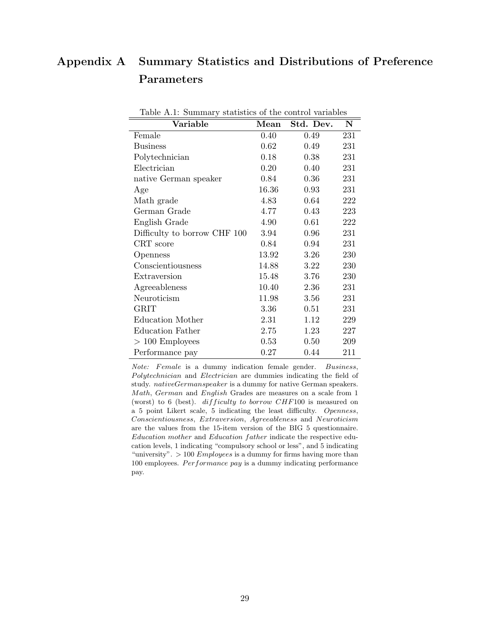## <span id="page-29-1"></span>Appendix A Summary Statistics and Distributions of Preference Parameters

| Lable T.I. Dummary statistics of the control variables |       |           |     |
|--------------------------------------------------------|-------|-----------|-----|
| Variable                                               | Mean  | Std. Dev. | N   |
| Female                                                 | 0.40  | 0.49      | 231 |
| <b>Business</b>                                        | 0.62  | 0.49      | 231 |
| Polytechnician                                         | 0.18  | 0.38      | 231 |
| Electrician                                            | 0.20  | 0.40      | 231 |
| native German speaker                                  | 0.84  | 0.36      | 231 |
| Age                                                    | 16.36 | 0.93      | 231 |
| Math grade                                             | 4.83  | 0.64      | 222 |
| German Grade                                           | 4.77  | 0.43      | 223 |
| English Grade                                          | 4.90  | 0.61      | 222 |
| Difficulty to borrow CHF 100                           | 3.94  | 0.96      | 231 |
| CRT score                                              | 0.84  | 0.94      | 231 |
| Openness                                               | 13.92 | 3.26      | 230 |
| Conscientiousness                                      | 14.88 | 3.22      | 230 |
| Extraversion                                           | 15.48 | 3.76      | 230 |
| Agreeableness                                          | 10.40 | 2.36      | 231 |
| Neuroticism                                            | 11.98 | 3.56      | 231 |
| <b>GRIT</b>                                            | 3.36  | 0.51      | 231 |
| Education Mother                                       | 2.31  | 1.12      | 229 |
| Education Father                                       | 2.75  | 1.23      | 227 |
| $>100$ Employees                                       | 0.53  | 0.50      | 209 |
| Performance pay                                        | 0.27  | 0.44      | 211 |

<span id="page-29-0"></span>Table A.1: Summary statistics of the control variables

Note: Female is a dummy indication female gender. Business, Polytechnician and Electrician are dummies indicating the field of study. nativeGermanspeaker is a dummy for native German speakers. Math, German and English Grades are measures on a scale from 1 (worst) to 6 (best). difficulty to borrow CHF100 is measured on a 5 point Likert scale, 5 indicating the least difficulty. Openness, Conscientiousness, Extraversion, Agreeableness and Neuroticism are the values from the 15-item version of the BIG 5 questionnaire. Education mother and Education father indicate the respective education levels, 1 indicating "compulsory school or less", and 5 indicating "university".  $> 100$  *Employees* is a dummy for firms having more than 100 employees.  $Performance$   $pay$  is a dummy indicating performance pay.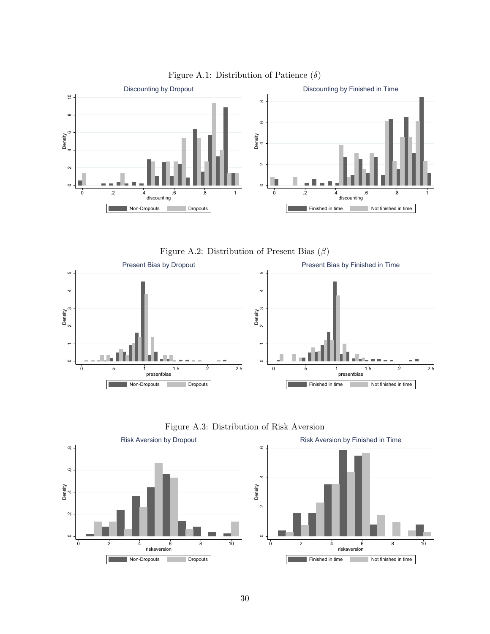









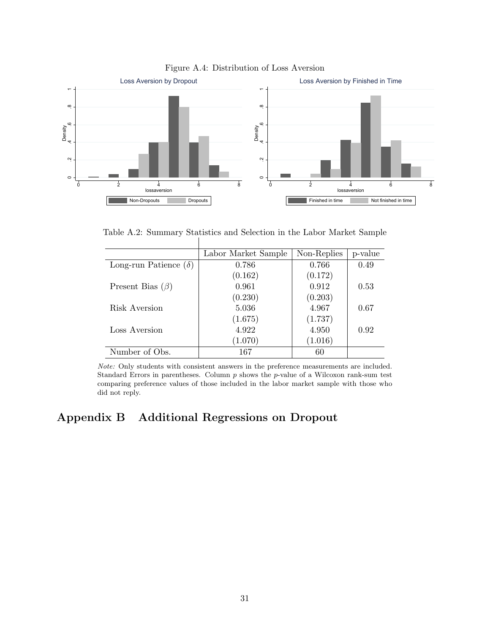

#### Figure A.4: Distribution of Loss Aversion

<span id="page-31-1"></span>Table A.2: Summary Statistics and Selection in the Labor Market Sample

|                              | Labor Market Sample | Non-Replies | p-value |
|------------------------------|---------------------|-------------|---------|
| Long-run Patience $(\delta)$ | 0.786               | 0.766       | 0.49    |
|                              | (0.162)             | (0.172)     |         |
| Present Bias $(\beta)$       | 0.961               | 0.912       | 0.53    |
|                              | (0.230)             | (0.203)     |         |
| Risk Aversion                | 5.036               | 4.967       | 0.67    |
|                              | (1.675)             | (1.737)     |         |
| Loss Aversion                | 4.922               | 4.950       | 0.92    |
|                              | (1.070)             | (1.016)     |         |
| Number of Obs.               | 167                 | 60          |         |

Note: Only students with consistent answers in the preference measurements are included. Standard Errors in parentheses. Column  $p$  shows the  $p$ -value of a Wilcoxon rank-sum test comparing preference values of those included in the labor market sample with those who did not reply.

## <span id="page-31-0"></span>Appendix B Additional Regressions on Dropout

 $\mathbf{I}$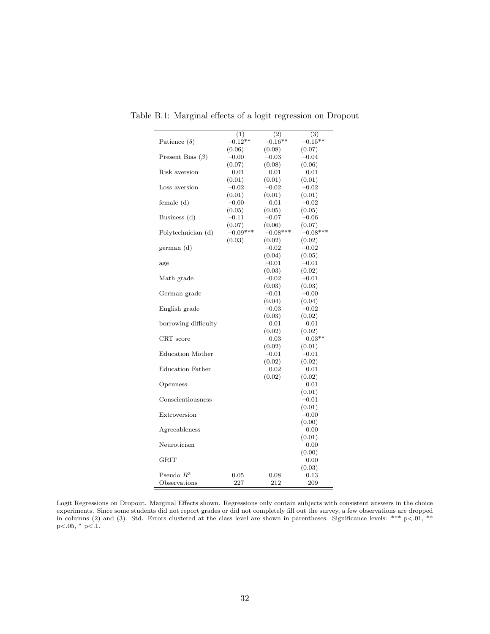<span id="page-32-0"></span>

|                         | (1)<br>$-0.12**$  | (2)<br>$-0.16**$  | (3)<br>$-0.15**$  |
|-------------------------|-------------------|-------------------|-------------------|
| Patience $(\delta)$     |                   | (0.08)            |                   |
| Present Bias $(\beta)$  | (0.06)<br>$-0.00$ | $-0.03$           | (0.07)<br>$-0.04$ |
|                         | (0.07)            | (0.08)            | (0.06)            |
| Risk aversion           | 0.01              | 0.01              | 0.01              |
|                         | (0.01)            | (0.01)            | (0.01)            |
| Loss aversion           | $-0.02$           | $-0.02$           | $-0.02$           |
|                         | (0.01)            | (0.01)            | (0.01)            |
| female (d)              | $-0.00$           | 0.01              | $-0.02$           |
|                         | (0.05)            | (0.05)            | (0.05)            |
| Business (d)            | $-0.11$           | $-0.07$           | $-0.06$           |
|                         | (0.07)            | (0.06)            | (0.07)            |
| Polytechnician (d)      | $-0.09***$        | $-0.08***$        | $-0.08***$        |
|                         | (0.03)            | (0.02)            | (0.02)            |
| german (d)              |                   | $-0.02$           | $-0.02$           |
|                         |                   | (0.04)            | (0.05)            |
| age                     |                   | $-0.01$           | $-0.01$           |
|                         |                   | (0.03)            | (0.02)            |
| Math grade              |                   | $-0.02$           | $-0.01$           |
|                         |                   | (0.03)            | (0.03)            |
| German grade            |                   | $-0.01$           | $-0.00$           |
|                         |                   | (0.04)            | (0.04)            |
| English grade           |                   | $-0.03$           | $-0.02$           |
|                         |                   | (0.03)            | (0.02)            |
| borrowing difficulty    |                   | 0.01              | 0.01              |
|                         |                   | (0.02)            | (0.02)            |
| CRT score               |                   | 0.03              | $0.03**$          |
|                         |                   | (0.02)            | (0.01)            |
| Education Mother        |                   | $-0.01$<br>(0.02) | $-0.01$           |
| <b>Education Father</b> |                   | 0.02              | (0.02)<br>0.01    |
|                         |                   | (0.02)            | (0.02)            |
| Openness                |                   |                   | 0.01              |
|                         |                   |                   | (0.01)            |
| Conscientiousness       |                   |                   | $-0.01$           |
|                         |                   |                   | (0.01)            |
| Extroversion            |                   |                   | $-0.00$           |
|                         |                   |                   | (0.00)            |
| Agreeableness           |                   |                   | 0.00              |
|                         |                   |                   | (0.01)            |
| Neuroticism             |                   |                   | 0.00              |
|                         |                   |                   | (0.00)            |
| GRIT                    |                   |                   | 0.00              |
|                         |                   |                   | (0.03)            |
| Pseudo $R^2$            | 0.05              | 0.08              | 0.13              |
| Observations            | 227               | 212               | 209               |

Table B.1: Marginal effects of a logit regression on Dropout

Logit Regressions on Dropout. Marginal Effects shown. Regressions only contain subjects with consistent answers in the choice experiments. Since some students did not report grades or did not completely fill out the survey, a few observations are dropped in columns (2) and (3). Std. Errors clustered at the class level are shown in parentheses. Significance levels: \*\*\* p<.01, \*\*  $p<.05$ ,  $*$   $p<.1$ .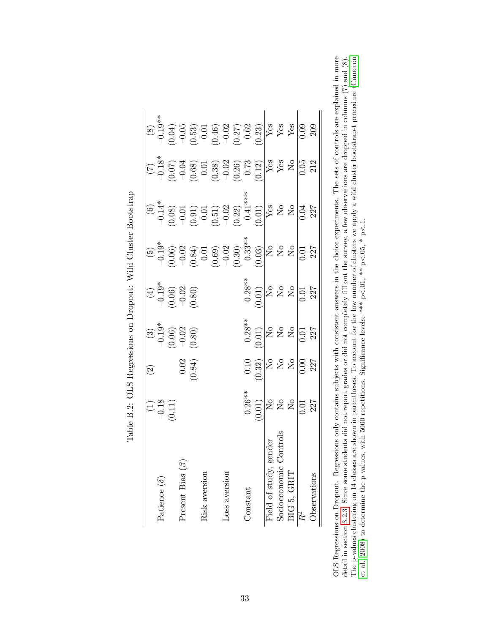|                             |                                                                                                                                 | $\widehat{\mathfrak{D}}$                                                                                                                                                                                                                                            |                                                                                                                |                                                                                |                                                                                                                                                                                                    |                                                                                                                                                                                                                                                                                                                     |                                                                                                                                                                                                                                                                                                                              |                                                                                                                                                                                  |
|-----------------------------|---------------------------------------------------------------------------------------------------------------------------------|---------------------------------------------------------------------------------------------------------------------------------------------------------------------------------------------------------------------------------------------------------------------|----------------------------------------------------------------------------------------------------------------|--------------------------------------------------------------------------------|----------------------------------------------------------------------------------------------------------------------------------------------------------------------------------------------------|---------------------------------------------------------------------------------------------------------------------------------------------------------------------------------------------------------------------------------------------------------------------------------------------------------------------|------------------------------------------------------------------------------------------------------------------------------------------------------------------------------------------------------------------------------------------------------------------------------------------------------------------------------|----------------------------------------------------------------------------------------------------------------------------------------------------------------------------------|
| Patience $(\delta)$         |                                                                                                                                 |                                                                                                                                                                                                                                                                     |                                                                                                                |                                                                                |                                                                                                                                                                                                    |                                                                                                                                                                                                                                                                                                                     |                                                                                                                                                                                                                                                                                                                              |                                                                                                                                                                                  |
|                             | $\begin{array}{c} (1) \\ -0.18 \\ 0.11 \end{array}$                                                                             |                                                                                                                                                                                                                                                                     |                                                                                                                |                                                                                |                                                                                                                                                                                                    |                                                                                                                                                                                                                                                                                                                     |                                                                                                                                                                                                                                                                                                                              |                                                                                                                                                                                  |
| Present Bias $(\beta)$      |                                                                                                                                 |                                                                                                                                                                                                                                                                     |                                                                                                                |                                                                                |                                                                                                                                                                                                    |                                                                                                                                                                                                                                                                                                                     |                                                                                                                                                                                                                                                                                                                              |                                                                                                                                                                                  |
|                             |                                                                                                                                 | $0.02$<br>0.84)                                                                                                                                                                                                                                                     | $(3)$<br>$-0.19$<br>$-0.06$<br>$-0.02$<br>$-0.80$                                                              | $(4)$<br>$-0.19$ <sup>*</sup><br>$-0.06$<br>$-0.02$<br>$-0.02$                 | (5)<br>$-0.19^*$<br>$-0.06$ )<br>$-0.02$<br>$-0.03$<br>$-0.03$<br>$-0.03$<br>$-0.03$<br>$-0.03$<br>$-0.03$<br>$-0.03$<br>$-0.03$<br>$-0.03$<br>$-0.03$<br>$-0.03$<br>$-0.03$<br>$-0.03$<br>$-0.03$ | $\begin{array}{r l} \text{(6)}\\[-4.5mm] -0.14\\[-4.5mm] -0.08\\[-4.5mm] -0.01\\[-4.5mm] -0.01\\[-4.5mm] -0.02\\[-4.5mm] -0.02\\[-4.5mm] -0.01\\[-4.5mm] -0.02\\[-4.5mm] -0.01\\[-4.5mm] -0.01\\[-4.5mm] -0.01\\[-4.5mm] -0.01\\[-4.5mm] -0.01\\[-4.5mm] -0.01\\[-4.5mm] -0.01\\[-4.5mm] -0.01\\[-4.5mm] -0.01\\[-$ | $\begin{array}{r} (7) \\ -0.18 \\ -0.07 \\ 0.03 \\ 0.03 \\ 0.03 \\ \hline \end{array} \quad \begin{array}{r} (7) \\ 0.07 \\ -0.03 \\ 0.03 \\ 0.03 \\ \hline \end{array} \quad \begin{array}{r} (7) \\ 0.07 \\ -0.03 \\ 0.03 \\ \hline \end{array} \quad \begin{array}{r} (8) \\ 0.03 \\ -0.03 \\ 0.03 \\ \hline \end{array}$ | $\begin{array}{r l} (8) \\ -0.19^{*3} \\ -0.04) \\ -0.53 \\ 0.53 \\ 0.01 \\ 0.02 \\ 0.02 \\ 0.03 \\ 0.02 \\ 0.03 \\ 0.04 \\ 0.02 \\ 0.03 \\ 0.04 \\ 0.09 \\ 0.09 \\ \end{array}$ |
| Risk aversion               |                                                                                                                                 |                                                                                                                                                                                                                                                                     |                                                                                                                |                                                                                |                                                                                                                                                                                                    |                                                                                                                                                                                                                                                                                                                     |                                                                                                                                                                                                                                                                                                                              |                                                                                                                                                                                  |
|                             |                                                                                                                                 |                                                                                                                                                                                                                                                                     |                                                                                                                |                                                                                |                                                                                                                                                                                                    |                                                                                                                                                                                                                                                                                                                     |                                                                                                                                                                                                                                                                                                                              |                                                                                                                                                                                  |
| Loss aversion               |                                                                                                                                 |                                                                                                                                                                                                                                                                     |                                                                                                                |                                                                                |                                                                                                                                                                                                    |                                                                                                                                                                                                                                                                                                                     |                                                                                                                                                                                                                                                                                                                              |                                                                                                                                                                                  |
|                             |                                                                                                                                 |                                                                                                                                                                                                                                                                     |                                                                                                                |                                                                                |                                                                                                                                                                                                    |                                                                                                                                                                                                                                                                                                                     |                                                                                                                                                                                                                                                                                                                              |                                                                                                                                                                                  |
| Constant                    |                                                                                                                                 |                                                                                                                                                                                                                                                                     |                                                                                                                |                                                                                |                                                                                                                                                                                                    |                                                                                                                                                                                                                                                                                                                     |                                                                                                                                                                                                                                                                                                                              |                                                                                                                                                                                  |
|                             | $\begin{array}{c} 0.26** \\ 0.01 \\ \hline 10 \\ 0.01 \\ \hline 10 \\ 0.01 \\ \hline 0.01 \\ 0.01 \\ 227 \\ \hline \end{array}$ | 0.10<br>$\frac{1}{2}$<br>$\frac{1}{2}$<br>$\frac{1}{2}$<br>$\frac{1}{2}$<br>$\frac{1}{2}$<br>$\frac{1}{2}$<br>$\frac{1}{2}$<br>$\frac{1}{2}$<br>$\frac{1}{2}$<br>$\frac{1}{2}$<br>$\frac{1}{2}$<br>$\frac{1}{2}$<br>$\frac{1}{2}$<br>$\frac{1}{2}$<br>$\frac{1}{2}$ | $\begin{array}{c} 0.28 * \\ 0.01 \\ 0.01 \end{array}$<br>$\begin{array}{c} 0.28 * \\ 0.01 \\ 0.01 \end{array}$ | $\begin{array}{c} 0.28 * \\ 0.01 \\ \hline 0.01 \\ \hline 0.02 \\ \end{array}$ |                                                                                                                                                                                                    |                                                                                                                                                                                                                                                                                                                     |                                                                                                                                                                                                                                                                                                                              |                                                                                                                                                                                  |
| ender<br>Field of study, go |                                                                                                                                 |                                                                                                                                                                                                                                                                     |                                                                                                                |                                                                                |                                                                                                                                                                                                    |                                                                                                                                                                                                                                                                                                                     |                                                                                                                                                                                                                                                                                                                              |                                                                                                                                                                                  |
| Socioeconomic C             |                                                                                                                                 |                                                                                                                                                                                                                                                                     |                                                                                                                |                                                                                |                                                                                                                                                                                                    |                                                                                                                                                                                                                                                                                                                     |                                                                                                                                                                                                                                                                                                                              |                                                                                                                                                                                  |
| BIG 5, GRIT                 |                                                                                                                                 |                                                                                                                                                                                                                                                                     |                                                                                                                |                                                                                |                                                                                                                                                                                                    |                                                                                                                                                                                                                                                                                                                     |                                                                                                                                                                                                                                                                                                                              |                                                                                                                                                                                  |
|                             |                                                                                                                                 |                                                                                                                                                                                                                                                                     |                                                                                                                |                                                                                |                                                                                                                                                                                                    |                                                                                                                                                                                                                                                                                                                     |                                                                                                                                                                                                                                                                                                                              |                                                                                                                                                                                  |
| <b>D</b> servations         |                                                                                                                                 |                                                                                                                                                                                                                                                                     |                                                                                                                |                                                                                |                                                                                                                                                                                                    |                                                                                                                                                                                                                                                                                                                     |                                                                                                                                                                                                                                                                                                                              | 209                                                                                                                                                                              |

Table B.2: OLS Regressions on Dropout: Wild Cluster Bootstrap Table B.2: OLS Regressions on Dropout: Wild Cluster Bootstrap

<span id="page-33-0"></span>detail in section 3.2.3. Since some students did not report grades or did not completely fill out the survey, a few observations are dropped in columns (7) and (8).<br>The p-values clustering on 14 classes are shown in paren OLS Regressions on Dropout. Regressions only contains subjects with consistent answers in the choice experiments. The sets of controls are explained in more OLS Regressions on Dropout. Regressions only contains subjects with consistent answers in the choice experiments. The sets of controls are explained in more The p-values clustering on 14 classes are shown in parentheses. To account for the low number of clusters we apply a wild cluster bootstrap-t procedure ([Cameron](#page-26-12) detail in section [3.2.3.](#page-10-2) Since some students did not report grades or did not completely fill out the survey, a few observations are dropped in columns (7) and (8). et [al.,](#page-26-12) [2008\)](#page-26-12) to determine the p-values, with 5000 repetitions. Significance levels: \*\*\* p $<01$ , \*\* p $<0.5$ , \* p $<0.1$ .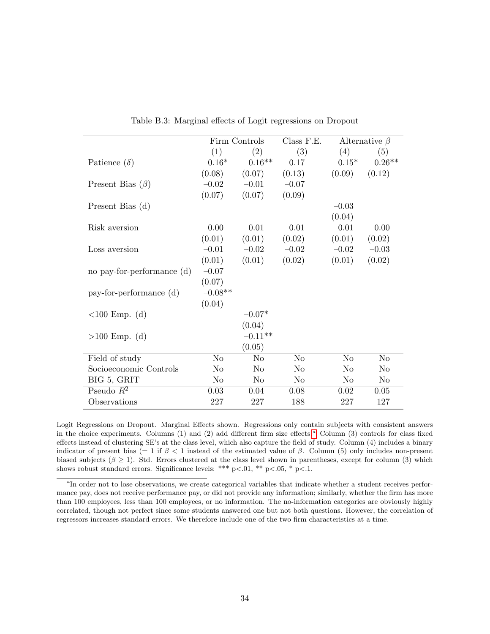|                            |                | Firm Controls  | Class F.E.     |          | Alternative $\beta$ |
|----------------------------|----------------|----------------|----------------|----------|---------------------|
|                            | (1)            | (2)            | (3)            | (4)      | (5)                 |
| Patience $(\delta)$        | $-0.16*$       | $-0.16**$      | $-0.17$        | $-0.15*$ | $-0.26**$           |
|                            | (0.08)         | (0.07)         | (0.13)         | (0.09)   | (0.12)              |
| Present Bias $(\beta)$     | $-0.02$        | $-0.01$        | $-0.07$        |          |                     |
|                            | (0.07)         | (0.07)         | (0.09)         |          |                     |
| Present Bias $(d)$         |                |                |                | $-0.03$  |                     |
|                            |                |                |                | (0.04)   |                     |
| Risk aversion              | 0.00           | 0.01           | 0.01           | 0.01     | $-0.00$             |
|                            | (0.01)         | (0.01)         | (0.02)         | (0.01)   | (0.02)              |
| Loss aversion              | $-0.01$        | $-0.02$        | $-0.02$        | $-0.02$  | $-0.03$             |
|                            | (0.01)         | (0.01)         | (0.02)         | (0.01)   | (0.02)              |
| no pay-for-performance (d) | $-0.07$        |                |                |          |                     |
|                            | (0.07)         |                |                |          |                     |
| pay-for-performance (d)    | $-0.08**$      |                |                |          |                     |
|                            | (0.04)         |                |                |          |                     |
| $<100$ Emp. (d)            |                | $-0.07*$       |                |          |                     |
|                            |                | (0.04)         |                |          |                     |
| $>100$ Emp. (d)            |                | $-0.11**$      |                |          |                     |
|                            |                | (0.05)         |                |          |                     |
| Field of study             | N <sub>o</sub> | N <sub>o</sub> | N <sub>o</sub> | No       | N <sub>o</sub>      |
| Socioeconomic Controls     | No             | N <sub>o</sub> | No             | No       | No                  |
| BIG 5, GRIT                | No             | No             | No             | $\rm No$ | N <sub>o</sub>      |
| Pseudo $R^2$               | 0.03           | 0.04           | 0.08           | 0.02     | 0.05                |
| Observations               | 227            | 227            | 188            | 227      | 127                 |

<span id="page-34-0"></span>Table B.3: Marginal effects of Logit regressions on Dropout

Logit Regressions on Dropout. Marginal Effects shown. Regressions only contain subjects with consistent answers in the choice experiments. Columns (1) [a](#page-34-1)nd (2) add different firm size effects.<sup>4</sup> Column (3) controls for class fixed effects instead of clustering SE's at the class level, which also capture the field of study. Column (4) includes a binary indicator of present bias (= 1 if  $\beta$  < 1 instead of the estimated value of  $\beta$ . Column (5) only includes non-present biased subjects ( $\beta \geq 1$ ). Std. Errors clustered at the class level shown in parentheses, except for column (3) which shows robust standard errors. Significance levels: \*\*\* p<.01, \*\* p<.05, \* p<.1.

<span id="page-34-1"></span><sup>&</sup>lt;sup>a</sup>In order not to lose observations, we create categorical variables that indicate whether a student receives performance pay, does not receive performance pay, or did not provide any information; similarly, whether the firm has more than 100 employees, less than 100 employees, or no information. The no-information categories are obviously highly correlated, though not perfect since some students answered one but not both questions. However, the correlation of regressors increases standard errors. We therefore include one of the two firm characteristics at a time.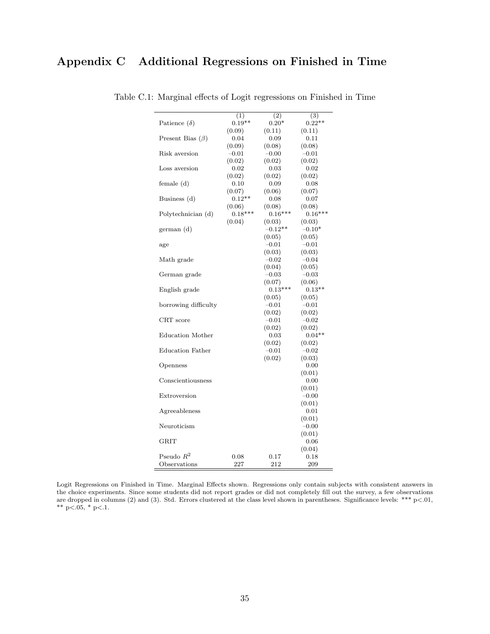<span id="page-35-1"></span>

| Patience $(\delta)$     | (1)<br>$0.19**$     | (2)<br>$0.20*$      | (3)<br>$0.22**$     |
|-------------------------|---------------------|---------------------|---------------------|
|                         | (0.09)              | (0.11)              | (0.11)              |
| Present Bias $(\beta)$  | 0.04                | 0.09                | 0.11                |
|                         | (0.09)              | (0.08)              | (0.08)              |
| Risk aversion           | $-0.01$             | $-0.00$             | $-0.01$             |
|                         | (0.02)              | (0.02)              | (0.02)              |
| Loss aversion           | 0.02                | 0.03                | 0.02                |
|                         | (0.02)              | (0.02)              | (0.02)              |
| female (d)              | 0.10                | 0.09                | 0.08                |
|                         | (0.07)              | (0.06)              | (0.07)              |
|                         | $0.12**$            |                     |                     |
| Business (d)            |                     | 0.08<br>(0.08)      | 0.07                |
| Polytechnician (d)      | (0.06)<br>$0.18***$ | $0.16***$           | (0.08)<br>$0.16***$ |
|                         | (0.04)              | (0.03)              |                     |
|                         |                     |                     | (0.03)              |
| german (d)              |                     | $-0.12**$           | $-0.10*$            |
|                         |                     | (0.05)<br>$-0.01$   | (0.05)<br>$-0.01$   |
| age                     |                     |                     |                     |
|                         |                     | (0.03)              | (0.03)              |
| Math grade              |                     | $-0.02$             | $-0.04$             |
|                         |                     | (0.04)              | (0.05)              |
| German grade            |                     | $-0.03$             | $-0.03$             |
|                         |                     | (0.07)<br>$0.13***$ | (0.06)              |
| English grade           |                     |                     | $0.13**$            |
|                         |                     | (0.05)              | (0.05)              |
| borrowing difficulty    |                     | $-0.01$             | $-0.01$             |
| CRT score               |                     | (0.02)<br>$-0.01$   | (0.02)<br>$-0.02$   |
|                         |                     |                     |                     |
|                         |                     | (0.02)              | (0.02)              |
| <b>Education Mother</b> |                     | 0.03                | $0.04**$            |
| <b>Education Father</b> |                     | (0.02)<br>$-0.01$   | (0.02)<br>$-0.02$   |
|                         |                     |                     |                     |
|                         |                     | (0.02)              | (0.03)<br>0.00      |
| Openness                |                     |                     |                     |
| Conscientiousness       |                     |                     | (0.01)<br>0.00      |
|                         |                     |                     |                     |
| Extroversion            |                     |                     | (0.01)<br>$-0.00$   |
|                         |                     |                     |                     |
|                         |                     |                     | (0.01)              |
| Agreeableness           |                     |                     | 0.01                |
| Neuroticism             |                     |                     | (0.01)              |
|                         |                     |                     | $-0.00$             |
| <b>GRIT</b>             |                     |                     | (0.01)              |
|                         |                     |                     | 0.06                |
| Pseudo $R^2$            | 0.08                | 0.17                | (0.04)<br>0.18      |
|                         |                     |                     |                     |
| Observations            | 227                 | 212                 | 209                 |

<span id="page-35-0"></span>Table C.1: Marginal effects of Logit regressions on Finished in Time

Logit Regressions on Finished in Time. Marginal Effects shown. Regressions only contain subjects with consistent answers in the choice experiments. Since some students did not report grades or did not completely fill out the survey, a few observations are dropped in columns (2) and (3). Std. Errors clustered at the class level shown in parentheses. Significance levels: \*\*\* p<.01, \*\*  $p<0.05$ , \*  $p<0.1$ .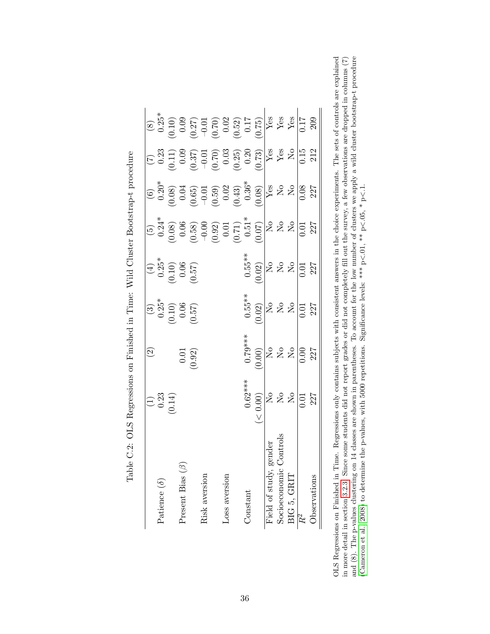|                             |                                                                                                              | $\odot$                                                                               |                                                                                                                                                                                                      |                                                                                                                                                       |                                                                                                                                                                                                                                                                                                                              |                                                                                                                                                                                                                                                                                                                              |                                                                                                                                                                                                                                                                                                                                     |  |
|-----------------------------|--------------------------------------------------------------------------------------------------------------|---------------------------------------------------------------------------------------|------------------------------------------------------------------------------------------------------------------------------------------------------------------------------------------------------|-------------------------------------------------------------------------------------------------------------------------------------------------------|------------------------------------------------------------------------------------------------------------------------------------------------------------------------------------------------------------------------------------------------------------------------------------------------------------------------------|------------------------------------------------------------------------------------------------------------------------------------------------------------------------------------------------------------------------------------------------------------------------------------------------------------------------------|-------------------------------------------------------------------------------------------------------------------------------------------------------------------------------------------------------------------------------------------------------------------------------------------------------------------------------------|--|
| Patience $(\delta)$         |                                                                                                              |                                                                                       |                                                                                                                                                                                                      |                                                                                                                                                       |                                                                                                                                                                                                                                                                                                                              |                                                                                                                                                                                                                                                                                                                              |                                                                                                                                                                                                                                                                                                                                     |  |
|                             | $(1)$<br>0.23<br>(0.14)                                                                                      |                                                                                       |                                                                                                                                                                                                      |                                                                                                                                                       |                                                                                                                                                                                                                                                                                                                              |                                                                                                                                                                                                                                                                                                                              |                                                                                                                                                                                                                                                                                                                                     |  |
| Present Bias $(\beta)$      |                                                                                                              |                                                                                       |                                                                                                                                                                                                      |                                                                                                                                                       |                                                                                                                                                                                                                                                                                                                              |                                                                                                                                                                                                                                                                                                                              |                                                                                                                                                                                                                                                                                                                                     |  |
|                             |                                                                                                              | (0.01)                                                                                | $\begin{bmatrix} (3) \\ 0.25^* \\ (0.10) \\ 0.06 \\ (0.57) \\ \end{bmatrix}$                                                                                                                         | $\begin{array}{c} (4) \\ (0.10) \\ (0.10) \\ 0.06 \\ (0.57) \end{array}$                                                                              |                                                                                                                                                                                                                                                                                                                              |                                                                                                                                                                                                                                                                                                                              |                                                                                                                                                                                                                                                                                                                                     |  |
| Risk aversion               |                                                                                                              |                                                                                       |                                                                                                                                                                                                      |                                                                                                                                                       |                                                                                                                                                                                                                                                                                                                              |                                                                                                                                                                                                                                                                                                                              |                                                                                                                                                                                                                                                                                                                                     |  |
|                             |                                                                                                              |                                                                                       |                                                                                                                                                                                                      |                                                                                                                                                       |                                                                                                                                                                                                                                                                                                                              |                                                                                                                                                                                                                                                                                                                              |                                                                                                                                                                                                                                                                                                                                     |  |
| Loss aversion               |                                                                                                              |                                                                                       |                                                                                                                                                                                                      |                                                                                                                                                       |                                                                                                                                                                                                                                                                                                                              |                                                                                                                                                                                                                                                                                                                              |                                                                                                                                                                                                                                                                                                                                     |  |
|                             |                                                                                                              |                                                                                       |                                                                                                                                                                                                      |                                                                                                                                                       |                                                                                                                                                                                                                                                                                                                              |                                                                                                                                                                                                                                                                                                                              |                                                                                                                                                                                                                                                                                                                                     |  |
| Constant                    |                                                                                                              |                                                                                       |                                                                                                                                                                                                      |                                                                                                                                                       |                                                                                                                                                                                                                                                                                                                              |                                                                                                                                                                                                                                                                                                                              |                                                                                                                                                                                                                                                                                                                                     |  |
|                             | $\begin{array}{r} 0.62** \ 0.00 \ \hline 10 \ \hline 10 \ \hline 10 \ \hline 0.01 \ \hline 0.01 \end{array}$ | $0.79***$<br>$(0.00)$<br>$N$<br>$N$<br>$N$<br>$(0.00)$<br>$N$<br>$(0.00)$<br>$(0.00)$ | $\begin{array}{c} 0.55** \\[-4pt] 0.02 \\[-4pt] \rule{0pt}{2.15mm} \rule{0pt}{2.15mm} \end{array} \hspace{-.3mm} \begin{array}{c} 0.55** \\[-4pt] \rule{0pt}{2.15mm} \rule{0pt}{2.15mm} \end{array}$ | $\begin{array}{c} 0.55^{**} \\ 0.02 \\ \hline 10 \\ 0.04 \\ \hline \end{array}$<br>$\begin{array}{c} 0.55^{**} \\ 0.02 \\ 0.01 \\ \hline \end{array}$ | $\begin{array}{c} (5) \\[-4pt] 0.24 \\[-4pt] 0.08 \\[-4pt] 0.06 \\[-4pt] 0.07 \\[-4pt] 0.07 \\[-4pt] 0.07 \\[-4pt] 0.07 \\[-4pt] 0.07 \\[-4pt] 0.07 \\[-4pt] 0.07 \\[-4pt] 0.07 \\[-4pt] 0.07 \\[-4pt] 0.07 \\[-4pt] 0.07 \\[-4pt] 0.07 \\[-4pt] 0.07 \\[-4pt] 0.07 \\[-4pt] 0.07 \\[-4pt] 0.07 \\[-4pt] 0.07 \\[-4pt] 0.07$ | $\begin{array}{c} (6) \\[-4pt] 0.20 \\[-4pt] 0.60 \\[-4pt] 0.60 \\[-4pt] 0.59 \\[-4pt] 0.59 \\[-4pt] 0.30 \\[-4pt] 0.30 \\[-4pt] 0.30 \\[-4pt] 0.30 \\[-4pt] 0.30 \\[-4pt] 0.30 \\[-4pt] 0.30 \\[-4pt] 0.30 \\[-4pt] 0.30 \\[-4pt] 0.30 \\[-4pt] 0.30 \\[-4pt] 0.30 \\[-4pt] 0.30 \\[-4pt] 0.30 \\[-4pt] 0.30 \\[-4pt] 0.30$ | $\begin{array}{c} (7) \\ 0.23 \\ 0.03 \\ (0.37) \\ (0.71) \\ (0.70) \\ (0.70) \\ (0.70) \\ (0.70) \\ (0.73) \\ (0.73) \\ (0.70) \\ (0.71) \\ (0.71) \\ (0.71) \\ (0.71) \\ (0.71) \\ (0.71) \\ (0.71) \\ (0.71) \\ (0.71) \\ (0.71) \\ (0.71) \\ (0.71) \\ (0.71) \\ (0.71) \\ (0.71) \\ (0.71) \\ (0.71) \\ (0.71) \\ (0.71) \\ ($ |  |
| Field of study, gender      |                                                                                                              |                                                                                       |                                                                                                                                                                                                      |                                                                                                                                                       |                                                                                                                                                                                                                                                                                                                              |                                                                                                                                                                                                                                                                                                                              |                                                                                                                                                                                                                                                                                                                                     |  |
| itrols<br>Socioeconomic Con |                                                                                                              |                                                                                       |                                                                                                                                                                                                      |                                                                                                                                                       |                                                                                                                                                                                                                                                                                                                              |                                                                                                                                                                                                                                                                                                                              |                                                                                                                                                                                                                                                                                                                                     |  |
| BIG 5, GRIT                 |                                                                                                              |                                                                                       |                                                                                                                                                                                                      |                                                                                                                                                       |                                                                                                                                                                                                                                                                                                                              |                                                                                                                                                                                                                                                                                                                              |                                                                                                                                                                                                                                                                                                                                     |  |
| $\overline{R^2}$            |                                                                                                              |                                                                                       |                                                                                                                                                                                                      |                                                                                                                                                       |                                                                                                                                                                                                                                                                                                                              |                                                                                                                                                                                                                                                                                                                              |                                                                                                                                                                                                                                                                                                                                     |  |
| Observations                |                                                                                                              |                                                                                       |                                                                                                                                                                                                      |                                                                                                                                                       |                                                                                                                                                                                                                                                                                                                              |                                                                                                                                                                                                                                                                                                                              |                                                                                                                                                                                                                                                                                                                                     |  |

Table C.2: OLS Regressions on Finished in Time: Wild Cluster Bootstrap-t procedure Table C.2: OLS Regressions on Finished in Time: Wild Cluster Bootstrap-t procedure <span id="page-36-0"></span>OLS Regressions on Finished in Time. Regressions only contains subjects with consistent answers in the choice experiments. The sets of controls are explained OLS Regressions on Finished in Time. Regressions only contains subjects with consistent answers in the choice experiments. The sets of controls are explained and (8). The p-values clustering on 14 classes are shown in parentheses. To account for the low number of clusters we apply a wild cluster bootstrap-t procedure in more detail in section [3.2.3.](#page-10-2) Since some students did not report grades or did not completely fill out the survey, a few observations are dropped in columns (7)  $\vec{v}$  $\lt.05, * p.$  $\lt.01$ , \*\* p [\(Cameron](#page-26-12) et al., [2008\)](#page-26-12) to determine the p-values, with 5000 repetitions. Significance levels: \*\*\* p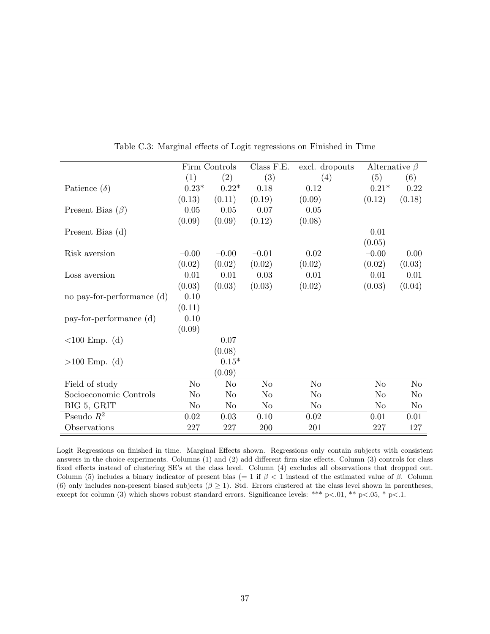|                            |                | Firm Controls | Class F.E.     | excl. dropouts | Alternative $\beta$ |                |
|----------------------------|----------------|---------------|----------------|----------------|---------------------|----------------|
|                            | (1)            | (2)           | (3)            | (4)            | (5)                 | (6)            |
| Patience $(\delta)$        | $0.23*$        | $0.22*$       | 0.18           | 0.12           | $0.21*$             | 0.22           |
|                            | (0.13)         | (0.11)        | (0.19)         | (0.09)         | (0.12)              | (0.18)         |
| Present Bias $(\beta)$     | $0.05\,$       | 0.05          | 0.07           | 0.05           |                     |                |
|                            | (0.09)         | (0.09)        | (0.12)         | (0.08)         |                     |                |
| Present Bias (d)           |                |               |                |                | 0.01                |                |
|                            |                |               |                |                | (0.05)              |                |
| Risk aversion              | $-0.00$        | $-0.00$       | $-0.01$        | 0.02           | $-0.00$             | 0.00           |
|                            | (0.02)         | (0.02)        | (0.02)         | (0.02)         | (0.02)              | (0.03)         |
| Loss aversion              | 0.01           | 0.01          | 0.03           | 0.01           | 0.01                | 0.01           |
|                            | (0.03)         | (0.03)        | (0.03)         | (0.02)         | (0.03)              | (0.04)         |
| no pay-for-performance (d) | 0.10           |               |                |                |                     |                |
|                            | (0.11)         |               |                |                |                     |                |
| pay-for-performance (d)    | 0.10           |               |                |                |                     |                |
|                            | (0.09)         |               |                |                |                     |                |
| $<100$ Emp. (d)            |                | 0.07          |                |                |                     |                |
|                            |                | (0.08)        |                |                |                     |                |
| $>100$ Emp. (d)            |                | $0.15*$       |                |                |                     |                |
|                            |                | (0.09)        |                |                |                     |                |
| Field of study             | N <sub>o</sub> | No            | No             | No             | N <sub>o</sub>      | No             |
| Socioeconomic Controls     | N <sub>o</sub> | No            | N <sub>o</sub> | N <sub>o</sub> | N <sub>o</sub>      | N <sub>o</sub> |
| BIG 5, GRIT                | N <sub>o</sub> | No            | No             | No             | No                  | No             |
| Pseudo $R^2$               | 0.02           | 0.03          | 0.10           | 0.02           | 0.01                | 0.01           |
| Observations               | 227            | 227           | 200            | 201            | 227                 | 127            |

<span id="page-37-0"></span>Table C.3: Marginal effects of Logit regressions on Finished in Time

Logit Regressions on finished in time. Marginal Effects shown. Regressions only contain subjects with consistent answers in the choice experiments. Columns (1) and (2) add different firm size effects. Column (3) controls for class fixed effects instead of clustering SE's at the class level. Column (4) excludes all observations that dropped out. Column (5) includes a binary indicator of present bias (= 1 if  $\beta$  < 1 instead of the estimated value of  $\beta$ . Column (6) only includes non-present biased subjects ( $\beta \ge 1$ ). Std. Errors clustered at the class level shown in parentheses, except for column (3) which shows robust standard errors. Significance levels: \*\*\* p<.01, \*\* p<.05, \* p<.1.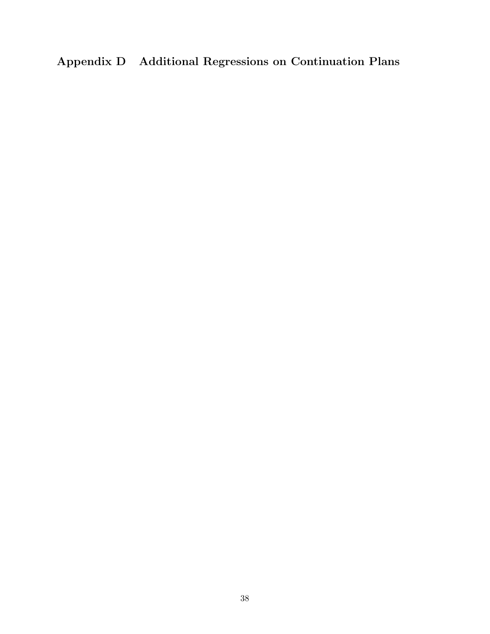# <span id="page-38-0"></span>Appendix D Additional Regressions on Continuation Plans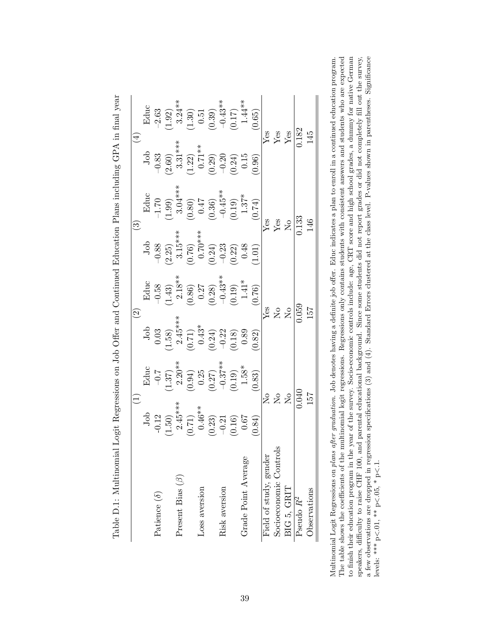|                        |                                                                              |                                                                                                      | $\widetilde{\mathcal{S}}$                                                                                                                                                                                                                                                                                                                |                                                                                                                         |                                                                                                                                                  | $\widetilde{\mathbb{C}}$                                                                                                                                                                                                                                                                                            |                                                                                                                            |                                                                                                                                                            |
|------------------------|------------------------------------------------------------------------------|------------------------------------------------------------------------------------------------------|------------------------------------------------------------------------------------------------------------------------------------------------------------------------------------------------------------------------------------------------------------------------------------------------------------------------------------------|-------------------------------------------------------------------------------------------------------------------------|--------------------------------------------------------------------------------------------------------------------------------------------------|---------------------------------------------------------------------------------------------------------------------------------------------------------------------------------------------------------------------------------------------------------------------------------------------------------------------|----------------------------------------------------------------------------------------------------------------------------|------------------------------------------------------------------------------------------------------------------------------------------------------------|
|                        |                                                                              |                                                                                                      |                                                                                                                                                                                                                                                                                                                                          |                                                                                                                         |                                                                                                                                                  |                                                                                                                                                                                                                                                                                                                     |                                                                                                                            |                                                                                                                                                            |
| Patience $(\delta)$    |                                                                              |                                                                                                      |                                                                                                                                                                                                                                                                                                                                          |                                                                                                                         |                                                                                                                                                  |                                                                                                                                                                                                                                                                                                                     |                                                                                                                            |                                                                                                                                                            |
|                        |                                                                              |                                                                                                      |                                                                                                                                                                                                                                                                                                                                          |                                                                                                                         |                                                                                                                                                  |                                                                                                                                                                                                                                                                                                                     |                                                                                                                            |                                                                                                                                                            |
| Present Bias $(\beta)$ |                                                                              |                                                                                                      |                                                                                                                                                                                                                                                                                                                                          |                                                                                                                         |                                                                                                                                                  |                                                                                                                                                                                                                                                                                                                     |                                                                                                                            |                                                                                                                                                            |
|                        | Job<br>-0.12<br>(1.50)<br>(1.50)<br>2.45**<br>0.67<br>(0.16)<br>0.67<br>0.67 |                                                                                                      |                                                                                                                                                                                                                                                                                                                                          |                                                                                                                         |                                                                                                                                                  |                                                                                                                                                                                                                                                                                                                     |                                                                                                                            | $\begin{array}{c} \text{Educ} \\ -2.63 \\ (1.92) \\ 3.24^{**} \\ (1.30) \\ (0.30) \\ (0.31) \\ -0.43^{**} \\ (0.17) \\ 1.44^{**} \\ 1.44^{**} \end{array}$ |
| Loss aversion          |                                                                              |                                                                                                      |                                                                                                                                                                                                                                                                                                                                          |                                                                                                                         |                                                                                                                                                  |                                                                                                                                                                                                                                                                                                                     |                                                                                                                            |                                                                                                                                                            |
|                        |                                                                              |                                                                                                      |                                                                                                                                                                                                                                                                                                                                          |                                                                                                                         |                                                                                                                                                  |                                                                                                                                                                                                                                                                                                                     |                                                                                                                            |                                                                                                                                                            |
| Risk aversion          |                                                                              |                                                                                                      |                                                                                                                                                                                                                                                                                                                                          |                                                                                                                         |                                                                                                                                                  |                                                                                                                                                                                                                                                                                                                     |                                                                                                                            |                                                                                                                                                            |
|                        |                                                                              |                                                                                                      |                                                                                                                                                                                                                                                                                                                                          |                                                                                                                         |                                                                                                                                                  |                                                                                                                                                                                                                                                                                                                     |                                                                                                                            |                                                                                                                                                            |
| Grade Point Average    |                                                                              |                                                                                                      |                                                                                                                                                                                                                                                                                                                                          |                                                                                                                         |                                                                                                                                                  |                                                                                                                                                                                                                                                                                                                     |                                                                                                                            |                                                                                                                                                            |
|                        | 0.84)                                                                        | Educ<br>$-0.7$<br>$(1.37)$<br>$2.20**$<br>$(0.94)$<br>$(0.27)$<br>$-0.37**$<br>$-1.58**$<br>$1.58**$ | $\begin{array}{c} \text{Job} \\ 0.03 \\ (1.58) \\ 2.45^{***} \\ (0.71) \\ (0.43^* \\ (0.24) \\ (0.24) \\ (0.89 \\ (0.89 \\ (0.82) \\ (0.82) \\ (0.82) \\ (0.82) \\ (0.82) \\ (0.82) \\ (0.83) \\ (0.82) \\ (0.83) \\ (0.84) \\ (0.85) \\ (0.85) \\ (0.87) \\ (0.87) \\ (0.89) \\ (0.80) \\ (0.81) \\ (0.82) \\ (0.83) \\ (0.85) \\ (0.8$ | Educ<br>$-0.58$<br>$(1.43)$<br>$2.18**$<br>$2.18**$<br>$0.36$<br>$0.27$<br>$-0.43**$<br>$-0.43**$<br>$1.41*$<br>$1.41*$ | Job<br>$-0.88$<br>$-0.85$<br>$-3.15***$<br>$-3.15***$<br>$-3.15***$<br>$-3.24$<br>$-0.24$<br>$-0.23$<br>$-0.48$<br>$-0.22$<br>$-0.48$<br>$-0.12$ | $\begin{array}{l} \text{Educ} \\ -1.70 \\ (1.99) \\ 3.04^{***} \\ (0.80) \\ (0.36) \\ (0.36) \\ -0.45^{**} \\ (0.19) \\ (0.19) \\ (1.37^{*} \\ 1.37^{*} \\ (0.74) \\ \end{array}$                                                                                                                                   | Job<br>$-0.83$<br>$(2.60)$<br>$3.31**$<br>$(1.22)$<br>$(0.71**$<br>$(0.29)$<br>$-0.20$<br>$(0.24)$<br>$(0.24)$<br>$(0.29)$ | (0.65)                                                                                                                                                     |
| Field of study, gender |                                                                              |                                                                                                      |                                                                                                                                                                                                                                                                                                                                          |                                                                                                                         |                                                                                                                                                  |                                                                                                                                                                                                                                                                                                                     |                                                                                                                            |                                                                                                                                                            |
| Socioeconomic Controls |                                                                              |                                                                                                      |                                                                                                                                                                                                                                                                                                                                          |                                                                                                                         |                                                                                                                                                  |                                                                                                                                                                                                                                                                                                                     |                                                                                                                            |                                                                                                                                                            |
| BIG 5, GRIT            |                                                                              | 222                                                                                                  | $\mathop{\rm Res}_{{\bf X}}$                                                                                                                                                                                                                                                                                                             |                                                                                                                         |                                                                                                                                                  | $\frac{1}{2}$ $\frac{1}{2}$ $\frac{1}{2}$ $\frac{1}{2}$ $\frac{1}{2}$ $\frac{1}{2}$ $\frac{1}{2}$ $\frac{1}{2}$ $\frac{1}{2}$ $\frac{1}{2}$ $\frac{1}{2}$ $\frac{1}{2}$ $\frac{1}{2}$ $\frac{1}{2}$ $\frac{1}{2}$ $\frac{1}{2}$ $\frac{1}{2}$ $\frac{1}{2}$ $\frac{1}{2}$ $\frac{1}{2}$ $\frac{1}{2}$ $\frac{1}{2}$ | $\frac{\text{Yes}}{\text{Yes}}$                                                                                            |                                                                                                                                                            |
| Pseudo R <sup>2</sup>  |                                                                              | 0.040                                                                                                | $\frac{6}{1059}$                                                                                                                                                                                                                                                                                                                         |                                                                                                                         |                                                                                                                                                  | $0.\overline{133}$                                                                                                                                                                                                                                                                                                  | $\overline{0.182}$                                                                                                         |                                                                                                                                                            |
| Observations           | 157                                                                          |                                                                                                      | 157                                                                                                                                                                                                                                                                                                                                      |                                                                                                                         |                                                                                                                                                  | 146                                                                                                                                                                                                                                                                                                                 | 145                                                                                                                        |                                                                                                                                                            |

| ・・・・・・・・・                                                                                                                                                                                                                              |
|----------------------------------------------------------------------------------------------------------------------------------------------------------------------------------------------------------------------------------------|
|                                                                                                                                                                                                                                        |
|                                                                                                                                                                                                                                        |
| $\frac{1}{2}$                                                                                                                                                                                                                          |
| )                                                                                                                                                                                                                                      |
| $-1 - 1$<br>.<br>ווינו                                                                                                                                                                                                                 |
| リー・コード しょうしょう                                                                                                                                                                                                                          |
|                                                                                                                                                                                                                                        |
| <br> <br> <br> <br>$\overline{\phantom{a}}$<br>こうしょう こうこう                                                                                                                                                                              |
|                                                                                                                                                                                                                                        |
| $\frac{1}{2}$                                                                                                                                                                                                                          |
| ;<br>;<br>I                                                                                                                                                                                                                            |
|                                                                                                                                                                                                                                        |
|                                                                                                                                                                                                                                        |
|                                                                                                                                                                                                                                        |
|                                                                                                                                                                                                                                        |
| con con control of the control of the control of the control of the control of the control of the control of the control of the control of the control of the control of the control of the control of the control of the cont<br>ミー・ト |
|                                                                                                                                                                                                                                        |
|                                                                                                                                                                                                                                        |
| iel I orit Dormociona or<br>$\overline{ }$                                                                                                                                                                                             |
| ֦֦֦֦֦֦֦֧֦֧֦֧֦֧֦֧֦֧֦֧֦֧֦֧֦֧֦֧ׅ֧֧ׅ֧֧֧֧֧֧֧֧֧֛֛֛֚֚֚֚֚֚֚֚֩֝֘֝֘֝֝֬֝֬֘֝֝֬֝֬֝֬֝֝֜֓֝֬֜֝֬֝֬֝֬֝֜֜֜<br>֧֢֛֧֧ׅ֧ׅ֧ׅ֧ׅ֛֛֛֚֚֚֚֚֚֚֚֚֚֚֚֚֚֚֚֚֜֜                                                                                                          |
| I                                                                                                                                                                                                                                      |
| ו<br>ו                                                                                                                                                                                                                                 |
| ן<br>ל                                                                                                                                                                                                                                 |
| ֖֖֖֖֖ׅׅׅׅ֖֪ׅ֪ׅ֪ׅ֪֪ׅ֖֧ׅׅ֪֪֪֪֪֪ׅׅ֪֪ׅ֚֚֚֚֚֚֚֚֚֚֚֚֚֚֚֚֚֚֚֚֚֚֚֚֚֚֡֕֕֝֬֝֬֝֬֓֓֞֝֬֓֞֬֝֬֓֞֬֝֬֝֬                                                                                                                                                 |
| ֖֖֖֖֖֖֖֖֧֖֖֧֖֧֖֧֖֧֖֧֪֪֪֪֧֪֪֪֪֪֧֪֧֚֚֚֚֚֚֚֚֚֚֚֚֚֚֚֚֚֚֚֚֚֚֚֚֚֚֚֚֚֚֚֚֚֚֚֬֝֓֞֝֓֞֝֓֞֝֬֞֝֬֞֝                                                                                                                                                  |
| I                                                                                                                                                                                                                                      |
| l<br>י<br>ו<br>$\overline{\phantom{a}}$                                                                                                                                                                                                |
| l                                                                                                                                                                                                                                      |
| ׇ֚֘֝֬֝                                                                                                                                                                                                                                 |

<span id="page-39-0"></span>The table shows the coefficients of the multinomial logit regressions. Regressions only contains students with consistent answers and students who are expected to finish their education program in the year of the survey. S Multinomial Logit Regressions on plans after graduation. Job denotes having a definite job offer. Educ indicates a plan to enroll in a continued education program. speakers, difficulty to raise CHF 100, and parental educational background. Since some students did not report grades or did not completely fill out the survey, a few observations are dropped in regression specifications  $(3)$  and  $(4)$ . Standard Errors clustered at the class level. P-values shown in parentheses. Significance The table shows the coefficients of the multinomial logit regressions. Regressions only contains students with consistent answers and students who are expected to finish their education program in the year of the survey. Socio-economic controls include: age, CRT score and high school grades, a dummy for native German a few observations are dropped in regression specifications (3) and (4). Standard Errors clustered at the class level. P-values shown in parentheses. Significance Multinomial Logit Regressions on plans after graduation. Job denotes having a definite job offer. Educ indicates a plan to enroll in a continued education program. speakers, difficulty to raise CHF 100, and parental educational background. Since some students did not report grades or did not completely fill out the survey,  $\frac{1}{\sqrt{2}}$  $\lt.05, * p.$  $\lt$  01,  $*$  p. levels: \*\*\* p.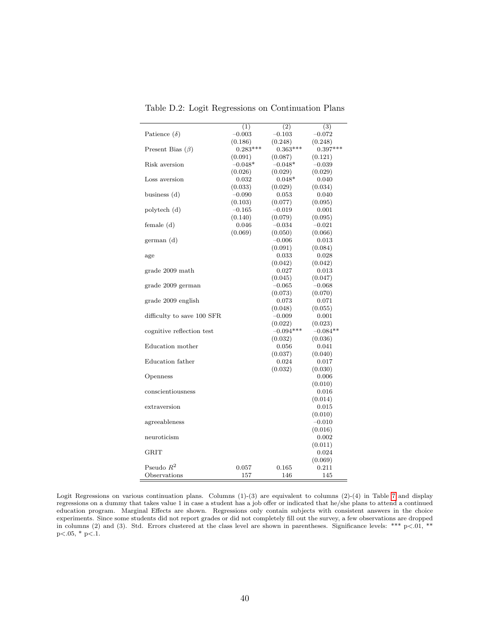|                            | (1)        | (2)         | (3)        |
|----------------------------|------------|-------------|------------|
| Patience $(\delta)$        | $-0.003$   | $-0.103$    | $-0.072$   |
|                            | (0.186)    | (0.248)     | (0.248)    |
| Present Bias $(\beta)$     | $0.283***$ | $0.363***$  | $0.397***$ |
|                            | (0.091)    | (0.087)     | (0.121)    |
| Risk aversion              | $-0.048*$  | $-0.048*$   | $-0.039$   |
|                            | (0.026)    | (0.029)     | (0.029)    |
| Loss aversion              | 0.032      | $0.048*$    | 0.040      |
|                            |            |             |            |
|                            | (0.033)    | (0.029)     | (0.034)    |
| business $(d)$             | $-0.090$   | 0.053       | 0.040      |
|                            | (0.103)    | (0.077)     | (0.095)    |
| polytech (d)               | $-0.165$   | $-0.019$    | 0.001      |
|                            | (0.140)    | (0.079)     | (0.095)    |
| female $(d)$               | 0.046      | $-0.034$    | $-0.021$   |
|                            | (0.069)    | (0.050)     | (0.066)    |
| german(d)                  |            | $-0.006$    | 0.013      |
|                            |            | (0.091)     | (0.084)    |
| age                        |            | 0.033       | 0.028      |
|                            |            | (0.042)     | (0.042)    |
| grade 2009 math            |            | 0.027       | 0.013      |
|                            |            |             |            |
|                            |            | (0.045)     | (0.047)    |
| grade 2009 german          |            | $-0.065$    | $-0.068$   |
|                            |            | (0.073)     | (0.070)    |
| grade 2009 english         |            | 0.073       | 0.071      |
|                            |            | (0.048)     | (0.055)    |
| difficulty to save 100 SFR |            | $-0.009$    | 0.001      |
|                            |            | (0.022)     | (0.023)    |
| cognitive reflection test  |            | $-0.094***$ | $-0.084**$ |
|                            |            | (0.032)     | (0.036)    |
| Education mother           |            | 0.056       | 0.041      |
|                            |            | (0.037)     | (0.040)    |
| Education father           |            | 0.024       | 0.017      |
|                            |            | (0.032)     | (0.030)    |
|                            |            |             |            |
| Openness                   |            |             | 0.006      |
|                            |            |             | (0.010)    |
| conscientiousness          |            |             | 0.016      |
|                            |            |             | (0.014)    |
| extraversion               |            |             | 0.015      |
|                            |            |             | (0.010)    |
| agreeableness              |            |             | $-0.010$   |
|                            |            |             | (0.016)    |
| neuroticism                |            |             | 0.002      |
|                            |            |             | (0.011)    |
| GRIT                       |            |             | 0.024      |
|                            |            |             | (0.069)    |
| Pseudo $R^2$               | 0.057      | 0.165       | 0.211      |
|                            |            |             |            |
| Observations               | 157        | 146         | 145        |

<span id="page-40-0"></span>Table D.2: Logit Regressions on Continuation Plans

Logit Regressions on various continuation plans. Columns  $(1)-(3)$  are equivalent to columns  $(2)-(4)$  in Table [7](#page-20-1) and display regressions on a dummy that takes value 1 in case a student has a job offer or indicated that he/she plans to attend a continued education program. Marginal Effects are shown. Regressions only contain subjects with consistent answers in the choice experiments. Since some students did not report grades or did not completely fill out the survey, a few observations are dropped in columns (2) and (3). Std. Errors clustered at the class level are shown in parentheses. Significance levels: \*\*\*  $p<.01$ , \*\*  $p<.05$ ,  $*$   $p<.1$ .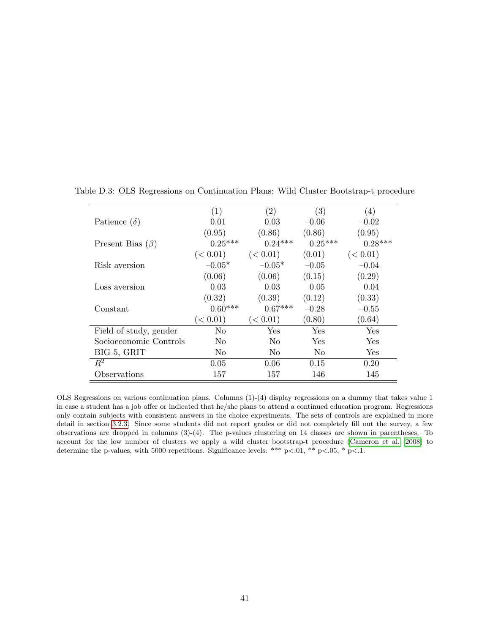<span id="page-41-0"></span>

|                        | $\left( 1\right)$ | $\left( 2\right)$ | (3)       | (4)       |
|------------------------|-------------------|-------------------|-----------|-----------|
| Patience $(\delta)$    | 0.01              | 0.03              | $-0.06$   | $-0.02$   |
|                        | (0.95)            | (0.86)            | (0.86)    | (0.95)    |
| Present Bias $(\beta)$ | $0.25***$         | $0.24***$         | $0.25***$ | $0.28***$ |
|                        | (< 0.01)          | (< 0.01)          | (0.01)    | (< 0.01)  |
| Risk aversion          | $-0.05*$          | $-0.05*$          | $-0.05$   | $-0.04$   |
|                        | (0.06)            | (0.06)            | (0.15)    | (0.29)    |
| Loss aversion          | 0.03              | 0.03              | 0.05      | 0.04      |
|                        | (0.32)            | (0.39)            | (0.12)    | (0.33)    |
| Constant               | $0.60***$         | $0.67***$         | $-0.28$   | $-0.55$   |
|                        | (< 0.01)          | (< 0.01)          | (0.80)    | (0.64)    |
| Field of study, gender | No                | Yes               | Yes       | Yes       |
| Socioeconomic Controls | No                | No                | Yes       | Yes       |
| BIG 5, GRIT            | No                | N <sub>0</sub>    | No        | Yes       |
| $R^2$                  | 0.05              | 0.06              | 0.15      | 0.20      |
| Observations           | 157               | 157               | 146       | 145       |

Table D.3: OLS Regressions on Continuation Plans: Wild Cluster Bootstrap-t procedure

OLS Regressions on various continuation plans. Columns (1)-(4) display regressions on a dummy that takes value 1 in case a student has a job offer or indicated that he/she plans to attend a continued education program. Regressions only contain subjects with consistent answers in the choice experiments. The sets of controls are explained in more detail in section [3.2.3.](#page-10-2) Since some students did not report grades or did not completely fill out the survey, a few observations are dropped in columns (3)-(4). The p-values clustering on 14 classes are shown in parentheses. To account for the low number of clusters we apply a wild cluster bootstrap-t procedure [\(Cameron et al., 2008\)](#page-26-12) to determine the p-values, with 5000 repetitions. Significance levels: \*\*\* p<.01, \*\* p<.05, \* p<.1.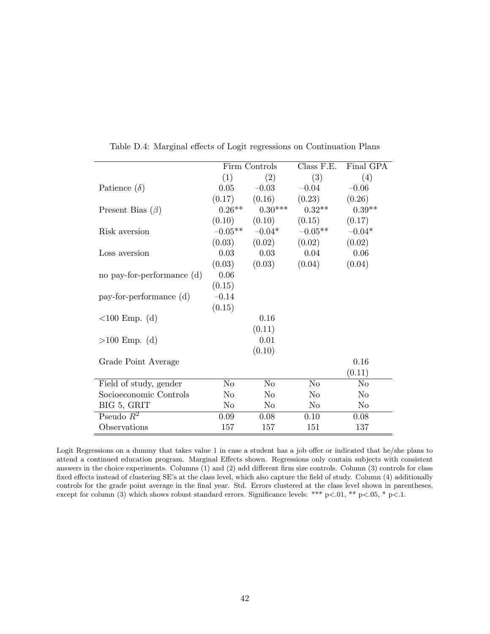|                            |                | Firm Controls       | Class F.E.     | Final GPA      |
|----------------------------|----------------|---------------------|----------------|----------------|
|                            | (1)            | (2)                 | (3)            | (4)            |
| Patience $(\delta)$        | 0.05           | $-0.03$             | $-0.04$        | $-0.06$        |
|                            | (0.17)         | (0.16)              | (0.23)         | (0.26)         |
| Present Bias $(\beta)$     | $0.26**$       | $0.30***$           | $0.32**$       | $0.39**$       |
|                            | (0.10)         | (0.10)              | (0.15)         | (0.17)         |
| Risk aversion              |                | $-0.05***$ $-0.04*$ | $-0.05**$      | $-0.04*$       |
|                            | (0.03)         | (0.02)              | (0.02)         | (0.02)         |
| Loss aversion              | 0.03           | 0.03                | 0.04           | 0.06           |
|                            | (0.03)         | (0.03)              | (0.04)         | (0.04)         |
| no pay-for-performance (d) | 0.06           |                     |                |                |
|                            | (0.15)         |                     |                |                |
| pay-for-performance (d)    | $-0.14$        |                     |                |                |
|                            | (0.15)         |                     |                |                |
| $<100$ Emp. (d)            |                | 0.16                |                |                |
|                            |                | (0.11)              |                |                |
| $>100$ Emp. (d)            |                | 0.01                |                |                |
|                            |                | (0.10)              |                |                |
| Grade Point Average        |                |                     |                | 0.16           |
|                            |                |                     |                | (0.11)         |
| Field of study, gender     | N <sub>o</sub> | N <sub>o</sub>      | N <sub>o</sub> | No             |
| Socioeconomic Controls     | N <sub>o</sub> | N <sub>o</sub>      | No             | N <sub>o</sub> |
| BIG 5, GRIT                | No             | No                  | No             | No             |
| Pseudo $R^2$               | 0.09           | 0.08                | 0.10           | 0.08           |
| Observations               | 157            | 157                 | 151            | 137            |

<span id="page-42-0"></span>Table D.4: Marginal effects of Logit regressions on Continuation Plans

Logit Regressions on a dummy that takes value 1 in case a student has a job offer or indicated that he/she plans to attend a continued education program. Marginal Effects shown. Regressions only contain subjects with consistent answers in the choice experiments. Columns (1) and (2) add different firm size controls. Column (3) controls for class fixed effects instead of clustering SE's at the class level, which also capture the field of study. Column (4) additionally controls for the grade point average in the final year. Std. Errors clustered at the class level shown in parentheses, except for column (3) which shows robust standard errors. Significance levels: \*\*\* p<.01, \*\* p<.05, \* p<.1.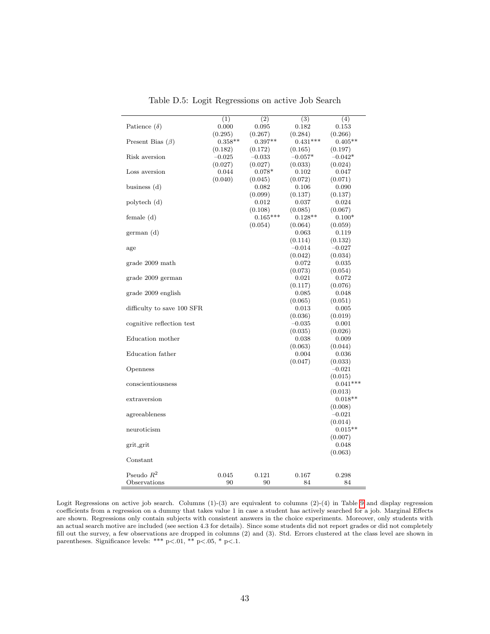|                            | (1)       | (2)        | (3)        | (4)        |
|----------------------------|-----------|------------|------------|------------|
| Patience $(\delta)$        | 0.000     | 0.095      | 0.182      | 0.153      |
|                            | (0.295)   | (0.267)    | (0.284)    | (0.266)    |
| Present Bias $(\beta)$     | $0.358**$ | $0.397**$  | $0.431***$ | $0.405**$  |
|                            | (0.182)   | (0.172)    | (0.165)    | (0.197)    |
| Risk aversion              | $-0.025$  | $-0.033$   | $-0.057*$  | $-0.042*$  |
|                            | (0.027)   | (0.027)    | (0.033)    | (0.024)    |
| Loss aversion              | 0.044     | $0.078*$   | 0.102      | 0.047      |
|                            | (0.040)   | (0.045)    | (0.072)    | (0.071)    |
|                            |           |            |            |            |
| business $(d)$             |           | 0.082      | 0.106      | 0.090      |
|                            |           | (0.099)    | (0.137)    | (0.137)    |
| polytech (d)               |           | 0.012      | 0.037      | 0.024      |
|                            |           | (0.108)    | (0.085)    | (0.067)    |
| female $(d)$               |           | $0.165***$ | $0.128**$  | $0.100*$   |
|                            |           | (0.054)    | (0.064)    | (0.059)    |
| german (d)                 |           |            | 0.063      | 0.119      |
|                            |           |            | (0.114)    | (0.132)    |
| age                        |           |            | $-0.014$   | $-0.027$   |
|                            |           |            | (0.042)    | (0.034)    |
| grade 2009 math            |           |            | 0.072      | 0.035      |
|                            |           |            | (0.073)    | (0.054)    |
| grade 2009 german          |           |            | 0.021      | 0.072      |
|                            |           |            | (0.117)    | (0.076)    |
| grade 2009 english         |           |            | $_{0.085}$ | 0.048      |
|                            |           |            | (0.065)    | (0.051)    |
| difficulty to save 100 SFR |           |            | 0.013      | 0.005      |
|                            |           |            | (0.036)    | (0.019)    |
| cognitive reflection test  |           |            | $-0.035$   | 0.001      |
|                            |           |            | (0.035)    | (0.026)    |
| Education mother           |           |            | 0.038      | 0.009      |
|                            |           |            | (0.063)    | (0.044)    |
| Education father           |           |            | 0.004      | 0.036      |
|                            |           |            | (0.047)    | (0.033)    |
| Openness                   |           |            |            | $-0.021$   |
|                            |           |            |            | (0.015)    |
| conscientiousness          |           |            |            | $0.041***$ |
|                            |           |            |            | (0.013)    |
| extraversion               |           |            |            | $0.018**$  |
|                            |           |            |            | (0.008)    |
| agreeableness              |           |            |            | $-0.021$   |
|                            |           |            |            | (0.014)    |
| neuroticism                |           |            |            | $0.015**$  |
|                            |           |            |            | (0.007)    |
| grit_grit                  |           |            |            | 0.048      |
|                            |           |            |            | (0.063)    |
| Constant                   |           |            |            |            |
|                            |           |            |            |            |
| Pseudo $R^2$               | 0.045     | 0.121      | 0.167      | 0.298      |
| Observations               | 90        | 90         | 84         | 84         |
|                            |           |            |            |            |

Table D.5: Logit Regressions on active Job Search

Logit Regressions on active job search. Columns (1)-(3) are equivalent to columns (2)-(4) in Table [9](#page-23-0) and display regression coefficients from a regression on a dummy that takes value 1 in case a student has actively searched for a job. Marginal Effects are shown. Regressions only contain subjects with consistent answers in the choice experiments. Moreover, only students with an actual search motive are included (see section 4.3 for details). Since some students did not report grades or did not completely fill out the survey, a few observations are dropped in columns (2) and (3). Std. Errors clustered at the class level are shown in parentheses. Significance levels: \*\*\* p<.01, \*\* p<.05, \* p<.1.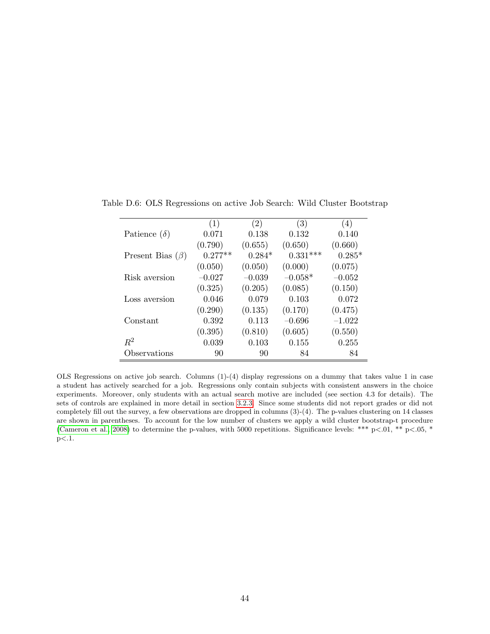<span id="page-44-0"></span>

|                        | (1)       | (2)      | (3)        | (4)      |
|------------------------|-----------|----------|------------|----------|
| Patience $(\delta)$    | 0.071     | 0.138    | 0.132      | 0.140    |
|                        | (0.790)   | (0.655)  | (0.650)    | (0.660)  |
| Present Bias $(\beta)$ | $0.277**$ | $0.284*$ | $0.331***$ | $0.285*$ |
|                        | (0.050)   | (0.050)  | (0.000)    | (0.075)  |
| Risk aversion          | $-0.027$  | $-0.039$ | $-0.058*$  | $-0.052$ |
|                        | (0.325)   | (0.205)  | (0.085)    | (0.150)  |
| Loss aversion          | 0.046     | 0.079    | 0.103      | 0.072    |
|                        | (0.290)   | (0.135)  | (0.170)    | (0.475)  |
| Constant               | 0.392     | 0.113    | $-0.696$   | $-1.022$ |
|                        | (0.395)   | (0.810)  | (0.605)    | (0.550)  |
| $R^2$                  | 0.039     | 0.103    | 0.155      | 0.255    |
| Observations           | 90        | 90       | 84         | 84       |

Table D.6: OLS Regressions on active Job Search: Wild Cluster Bootstrap

OLS Regressions on active job search. Columns (1)-(4) display regressions on a dummy that takes value 1 in case a student has actively searched for a job. Regressions only contain subjects with consistent answers in the choice experiments. Moreover, only students with an actual search motive are included (see section 4.3 for details). The sets of controls are explained in more detail in section [3.2.3.](#page-10-2) Since some students did not report grades or did not completely fill out the survey, a few observations are dropped in columns (3)-(4). The p-values clustering on 14 classes are shown in parentheses. To account for the low number of clusters we apply a wild cluster bootstrap-t procedure [\(Cameron et al., 2008\)](#page-26-12) to determine the p-values, with 5000 repetitions. Significance levels: \*\*\* p<.01, \*\* p<.05, \* p<.1.